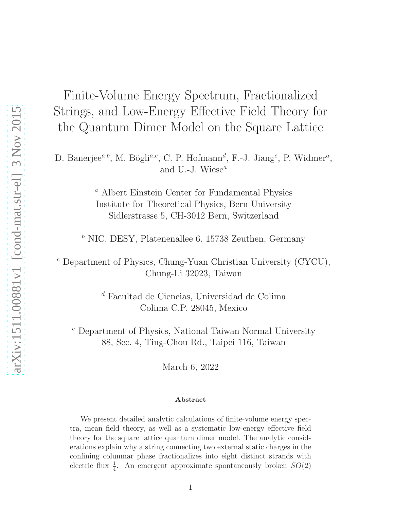Finite-Volume Energy Spectrum, Fractionalized Strings, and Low-Energy Effective Field Theory for the Quantum Dimer Model on the Square Lattice

D. Banerjee<sup>a,b</sup>, M. Bögli<sup>a,c</sup>, C. P. Hofmann<sup>d</sup>, F.-J. Jiang<sup>e</sup>, P. Widmer<sup>a</sup>, and U.-J. Wiese $^a$ 

> <sup>a</sup> Albert Einstein Center for Fundamental Physics Institute for Theoretical Physics, Bern University Sidlerstrasse 5, CH-3012 Bern, Switzerland

 $<sup>b</sup>$  NIC, DESY, Platenenallee 6, 15738 Zeuthen, Germany</sup>

 $c$  Department of Physics, Chung-Yuan Christian University (CYCU), Chung-Li 32023, Taiwan

> $\real^d$  Facultad de Ciencias, Universidad de Colima Colima C.P. 28045, Mexico

 $^e$  Department of Physics, National Taiwan Normal University 88, Sec. 4, Ting-Chou Rd., Taipei 116, Taiwan

March 6, 2022

#### Abstract

We present detailed analytic calculations of finite-volume energy spectra, mean field theory, as well as a systematic low-energy effective field theory for the square lattice quantum dimer model. The analytic considerations explain why a string connecting two external static charges in the confining columnar phase fractionalizes into eight distinct strands with electric flux  $\frac{1}{4}$ . An emergent approximate spontaneously broken  $SO(2)$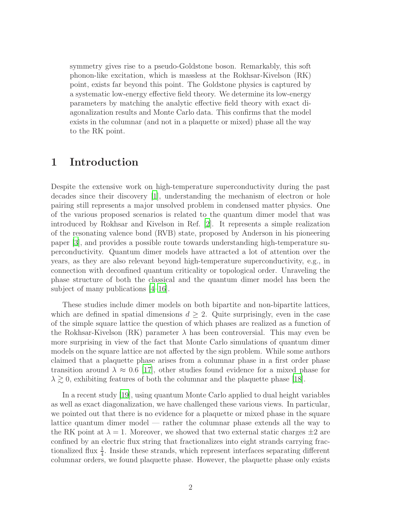symmetry gives rise to a pseudo-Goldstone boson. Remarkably, this soft phonon-like excitation, which is massless at the Rokhsar-Kivelson (RK) point, exists far beyond this point. The Goldstone physics is captured by a systematic low-energy effective field theory. We determine its low-energy parameters by matching the analytic effective field theory with exact diagonalization results and Monte Carlo data. This confirms that the model exists in the columnar (and not in a plaquette or mixed) phase all the way to the RK point.

# 1 Introduction

Despite the extensive work on high-temperature superconductivity during the past decades since their discovery [\[1\]](#page-32-0), understanding the mechanism of electron or hole pairing still represents a major unsolved problem in condensed matter physics. One of the various proposed scenarios is related to the quantum dimer model that was introduced by Rokhsar and Kivelson in Ref. [\[2\]](#page-32-1). It represents a simple realization of the resonating valence bond (RVB) state, proposed by Anderson in his pioneering paper [\[3](#page-32-2)], and provides a possible route towards understanding high-temperature superconductivity. Quantum dimer models have attracted a lot of attention over the years, as they are also relevant beyond high-temperature superconductivity, e.g., in connection with deconfined quantum criticality or topological order. Unraveling the phase structure of both the classical and the quantum dimer model has been the subject of many publications [\[4](#page-32-3)[–16\]](#page-33-0).

These studies include dimer models on both bipartite and non-bipartite lattices, which are defined in spatial dimensions  $d \geq 2$ . Quite surprisingly, even in the case of the simple square lattice the question of which phases are realized as a function of the Rokhsar-Kivelson (RK) parameter  $\lambda$  has been controversial. This may even be more surprising in view of the fact that Monte Carlo simulations of quantum dimer models on the square lattice are not affected by the sign problem. While some authors claimed that a plaquette phase arises from a columnar phase in a first order phase transition around  $\lambda \approx 0.6$  [\[17](#page-33-1)], other studies found evidence for a mixed phase for  $\lambda \gtrsim 0$ , exhibiting features of both the columnar and the plaquette phase [\[18\]](#page-33-2).

In a recent study [\[19](#page-33-3)], using quantum Monte Carlo applied to dual height variables as well as exact diagonalization, we have challenged these various views. In particular, we pointed out that there is no evidence for a plaquette or mixed phase in the square lattice quantum dimer model — rather the columnar phase extends all the way to the RK point at  $\lambda = 1$ . Moreover, we showed that two external static charges  $\pm 2$  are confined by an electric flux string that fractionalizes into eight strands carrying fractionalized flux  $\frac{1}{4}$ . Inside these strands, which represent interfaces separating different columnar orders, we found plaquette phase. However, the plaquette phase only exists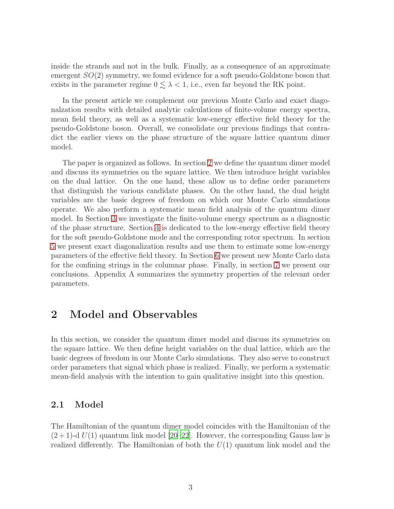inside the strands and not in the bulk. Finally, as a consequence of an approximate emergent  $SO(2)$  symmetry, we found evidence for a soft pseudo-Goldstone boson that exists in the parameter regime  $0 \leq \lambda < 1$ , i.e., even far beyond the RK point.

In the present article we complement our previous Monte Carlo and exact diagonalzation results with detailed analytic calculations of finite-volume energy spectra, mean field theory, as well as a systematic low-energy effective field theory for the pseudo-Goldstone boson. Overall, we consolidate our previous findings that contradict the earlier views on the phase structure of the square lattice quantum dimer model.

The paper is organized as follows. In section [2](#page-2-0) we define the quantum dimer model and discuss its symmetries on the square lattice. We then introduce height variables on the dual lattice. On the one hand, these allow us to define order parameters that distinguish the various candidate phases. On the other hand, the dual height variables are the basic degrees of freedom on which our Monte Carlo simulations operate. We also perform a systematic mean field analysis of the quantum dimer model. In Section [3](#page-13-0) we investigate the finite-volume energy spectrum as a diagnostic of the phase structure. Section [4](#page-18-0) is dedicated to the low-energy effective field theory for the soft pseudo-Goldstone mode and the corresponding rotor spectrum. In section [5](#page-23-0) we present exact diagonalization results and use them to estimate some low-energy parameters of the effective field theory. In Section [6](#page-26-0) we present new Monte Carlo data for the confining strings in the columnar phase. Finally, in section [7](#page-27-0) we present our conclusions. Appendix A summarizes the symmetry properties of the relevant order parameters.

# <span id="page-2-0"></span>2 Model and Observables

In this section, we consider the quantum dimer model and discuss its symmetries on the square lattice. We then define height variables on the dual lattice, which are the basic degrees of freedom in our Monte Carlo simulations. They also serve to construct order parameters that signal which phase is realized. Finally, we perform a systematic mean-field analysis with the intention to gain qualitative insight into this question.

## 2.1 Model

The Hamiltonian of the quantum dimer model coincides with the Hamiltonian of the  $(2+1)$ -d  $U(1)$  quantum link model  $[20-22]$ . However, the corresponding Gauss law is realized differently. The Hamiltonian of both the  $U(1)$  quantum link model and the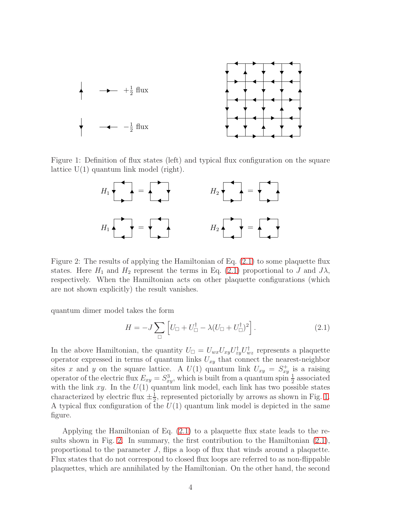

Figure 1: Definition of flux states (left) and typical flux configuration on the square lattice  $U(1)$  quantum link model (right).

<span id="page-3-1"></span>

<span id="page-3-2"></span>Figure 2: The results of applying the Hamiltonian of Eq. [\(2.1\)](#page-3-0) to some plaquette flux states. Here  $H_1$  and  $H_2$  represent the terms in Eq. [\(2.1\)](#page-3-0) proportional to J and  $J\lambda$ , respectively. When the Hamiltonian acts on other plaquette configurations (which are not shown explicitly) the result vanishes.

quantum dimer model takes the form

<span id="page-3-0"></span>
$$
H = -J\sum_{\Box} \left[ U_{\Box} + U_{\Box}^{\dagger} - \lambda (U_{\Box} + U_{\Box}^{\dagger})^2 \right]. \tag{2.1}
$$

In the above Hamiltonian, the quantity  $U_{\Box} = U_{wx} U_{xy} U_{zy}^{\dagger} U_{wz}^{\dagger}$  represents a plaquette operator expressed in terms of quantum links  $U_{xy}$  that connect the nearest-neighbor sites x and y on the square lattice. A  $U(1)$  quantum link  $U_{xy} = S_{xy}^+$  is a raising operator of the electric flux  $E_{xy} = S_{xy}^3$ , which is built from a quantum spin  $\frac{1}{2}$  associated with the link  $xy$ . In the  $U(1)$  quantum link model, each link has two possible states characterized by electric flux  $\pm \frac{1}{2}$  $\frac{1}{2}$ , represented pictorially by arrows as shown in Fig. [1.](#page-3-1) A typical flux configuration of the  $U(1)$  quantum link model is depicted in the same figure.

Applying the Hamiltonian of Eq. [\(2.1\)](#page-3-0) to a plaquette flux state leads to the results shown in Fig. [2.](#page-3-2) In summary, the first contribution to the Hamiltonian [\(2.1\)](#page-3-0), proportional to the parameter J, flips a loop of flux that winds around a plaquette. Flux states that do not correspond to closed flux loops are referred to as non-flippable plaquettes, which are annihilated by the Hamiltonian. On the other hand, the second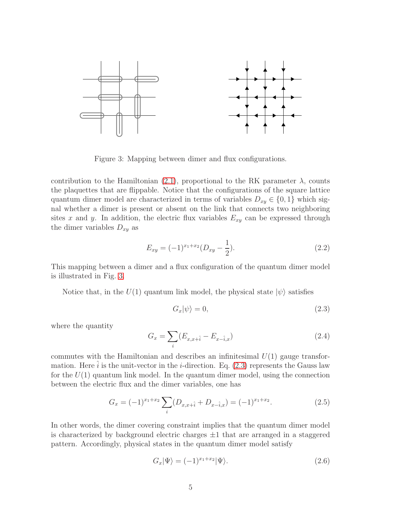

<span id="page-4-0"></span>Figure 3: Mapping between dimer and flux configurations.

contribution to the Hamiltonian [\(2.1\)](#page-3-0), proportional to the RK parameter  $\lambda$ , counts the plaquettes that are flippable. Notice that the configurations of the square lattice quantum dimer model are characterized in terms of variables  $D_{xy} \in \{0, 1\}$  which signal whether a dimer is present or absent on the link that connects two neighboring sites x and y. In addition, the electric flux variables  $E_{xy}$  can be expressed through the dimer variables  $D_{xy}$  as

$$
E_{xy} = (-1)^{x_1 + x_2} (D_{xy} - \frac{1}{2}).
$$
\n(2.2)

This mapping between a dimer and a flux configuration of the quantum dimer model is illustrated in Fig. [3.](#page-4-0)

Notice that, in the  $U(1)$  quantum link model, the physical state  $|\psi\rangle$  satisfies

<span id="page-4-1"></span>
$$
G_x|\psi\rangle = 0,\t\t(2.3)
$$

where the quantity

$$
G_x = \sum_i (E_{x,x+\hat{i}} - E_{x-\hat{i},x})
$$
\n(2.4)

commutes with the Hamiltonian and describes an infinitesimal  $U(1)$  gauge transformation. Here  $\hat{i}$  is the unit-vector in the *i*-direction. Eq. [\(2.3\)](#page-4-1) represents the Gauss law for the  $U(1)$  quantum link model. In the quantum dimer model, using the connection between the electric flux and the dimer variables, one has

$$
G_x = (-1)^{x_1 + x_2} \sum_{i} (D_{x, x + \hat{i}} + D_{x - \hat{i}, x}) = (-1)^{x_1 + x_2}.
$$
 (2.5)

In other words, the dimer covering constraint implies that the quantum dimer model is characterized by background electric charges  $\pm 1$  that are arranged in a staggered pattern. Accordingly, physical states in the quantum dimer model satisfy

$$
G_x|\Psi\rangle = (-1)^{x_1+x_2}|\Psi\rangle.
$$
\n(2.6)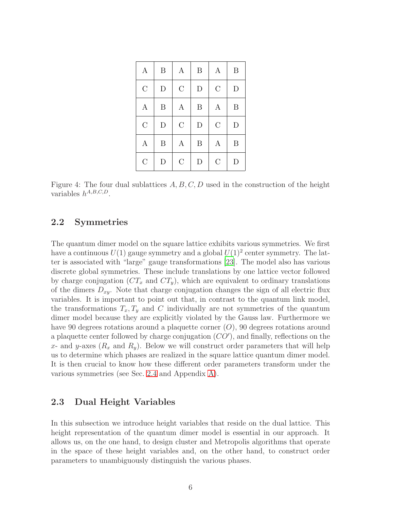| $\boldsymbol{A}$ | $\, {\bf B}$ | $\boldsymbol{A}$ | $\boldsymbol{B}$ | $\boldsymbol{A}$ | $\boldsymbol{B}$ |
|------------------|--------------|------------------|------------------|------------------|------------------|
| $\mathcal C$     | ${\rm D}$    | $\mathcal{C}$    | $\mathbf D$      | $\mathcal{C}$    | $\mathbf D$      |
| A                | $\, {\bf B}$ | $\boldsymbol{A}$ | $\boldsymbol{B}$ | $\boldsymbol{A}$ | $\boldsymbol{B}$ |
| $\overline{C}$   | $\mathbf D$  | $\mathcal{C}$    | $\mathbf D$      | $\overline{C}$   | $\mathbf{D}$     |
| A                | $\, {\bf B}$ | $\boldsymbol{A}$ | B                | A                | B                |
| $\mathcal{C}$    | D            | $\mathcal{C}$    | D                | $\mathcal{C}$    | D                |

<span id="page-5-0"></span>Figure 4: The four dual sublattices  $A, B, C, D$  used in the construction of the height variables  $h^{A,B,C,D}$ .

## 2.2 Symmetries

The quantum dimer model on the square lattice exhibits various symmetries. We first have a continuous  $U(1)$  gauge symmetry and a global  $U(1)^2$  center symmetry. The latter is associated with "large" gauge transformations [\[23\]](#page-33-6). The model also has various discrete global symmetries. These include translations by one lattice vector followed by charge conjugation  $(CT_x \text{ and } CT_y)$ , which are equivalent to ordinary translations of the dimers  $D_{xy}$ . Note that charge conjugation changes the sign of all electric flux variables. It is important to point out that, in contrast to the quantum link model, the transformations  $T_x, T_y$  and C individually are not symmetries of the quantum dimer model because they are explicitly violated by the Gauss law. Furthermore we have 90 degrees rotations around a plaquette corner (O), 90 degrees rotations around a plaquette center followed by charge conjugation  $(CO')$ , and finally, reflections on the x- and y-axes  $(R_x \text{ and } R_y)$ . Below we will construct order parameters that will help us to determine which phases are realized in the square lattice quantum dimer model. It is then crucial to know how these different order parameters transform under the various symmetries (see Sec. [2.4](#page-6-0) and Appendix [A\)](#page-31-0).

### 2.3 Dual Height Variables

In this subsection we introduce height variables that reside on the dual lattice. This height representation of the quantum dimer model is essential in our approach. It allows us, on the one hand, to design cluster and Metropolis algorithms that operate in the space of these height variables and, on the other hand, to construct order parameters to unambiguously distinguish the various phases.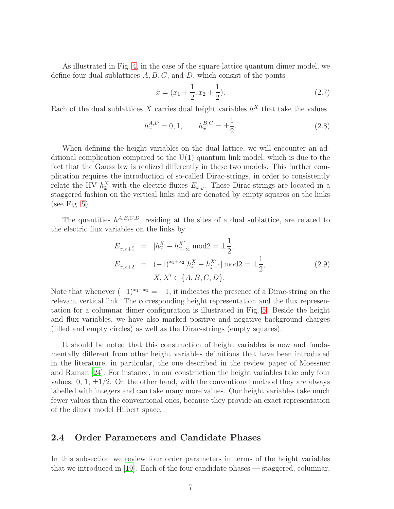As illustrated in Fig. [4,](#page-5-0) in the case of the square lattice quantum dimer model, we define four dual sublattices  $A, B, C$ , and  $D$ , which consist of the points

$$
\tilde{x} = (x_1 + \frac{1}{2}, x_2 + \frac{1}{2}).\tag{2.7}
$$

Each of the dual sublattices X carries dual height variables  $h^X$  that take the values

$$
h_{\tilde{x}}^{A,D} = 0, 1, \qquad h_{\tilde{x}}^{B,C} = \pm \frac{1}{2}.
$$
 (2.8)

When defining the height variables on the dual lattice, we will encounter an additional complication compared to the U(1) quantum link model, which is due to the fact that the Gauss law is realized differently in these two models. This further complication requires the introduction of so-called Dirac-strings, in order to consistently relate the HV  $h_{\tilde{x}}^X$  with the electric fluxes  $E_{x,y}$ . These Dirac-strings are located in a staggered fashion on the vertical links and are denoted by empty squares on the links (see Fig.  $5$ ).

The quantities  $h^{A,B,C,D}$ , residing at the sites of a dual sublattice, are related to the electric flux variables on the links by

$$
E_{x,x+\hat{1}} = [h_x^X - h_{\tilde{x}-\hat{2}}^{X'}] \text{mod} 2 = \pm \frac{1}{2},
$$
  
\n
$$
E_{x,x+\hat{2}} = (-1)^{x_1+x_2} [h_x^X - h_{\tilde{x}-\hat{1}}^{X'}] \text{mod} 2 = \pm \frac{1}{2},
$$
  
\n
$$
X, X' \in \{A, B, C, D\}.
$$
\n(2.9)

Note that whenever  $(-1)^{x_1+x_2} = -1$ , it indicates the presence of a Dirac-string on the relevant vertical link. The corresponding height representation and the flux representation for a columnar dimer configuration is illustrated in Fig. [5.](#page-7-0) Beside the height and flux variables, we have also marked positive and negative background charges (filled and empty circles) as well as the Dirac-strings (empty squares).

It should be noted that this construction of height variables is new and fundamentally different from other height variables definitions that have been introduced in the literature, in particular, the one described in the review paper of Moessner and Raman [\[24](#page-33-7)]. For instance, in our construction the height variables take only four values: 0, 1,  $\pm 1/2$ . On the other hand, with the conventional method they are always labelled with integers and can take many more values. Our height variables take much fewer values than the conventional ones, because they provide an exact representation of the dimer model Hilbert space.

### <span id="page-6-0"></span>2.4 Order Parameters and Candidate Phases

In this subsection we review four order parameters in terms of the height variables that we introduced in [\[19\]](#page-33-3). Each of the four candidate phases — staggered, columnar,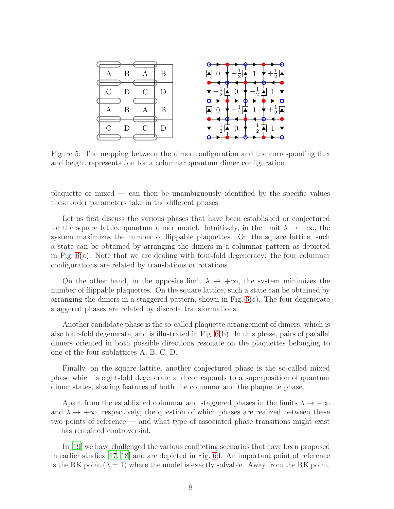

<span id="page-7-0"></span>Figure 5: The mapping between the dimer configuration and the corresponding flux and height representation for a columnar quantum dimer configuration.

plaquette or mixed — can then be unambiguously identified by the specific values these order parameters take in the different phases.

Let us first discuss the various phases that have been established or conjectured for the square lattice quantum dimer model. Intuitively, in the limit  $\lambda \to -\infty$ , the system maximizes the number of flippable plaquettes. On the square lattice, such a state can be obtained by arranging the dimers in a columnar pattern as depicted in Fig. [6\(](#page-8-0)a). Note that we are dealing with four-fold degeneracy: the four columnar configurations are related by translations or rotations.

On the other hand, in the opposite limit  $\lambda \to +\infty$ , the system minimizes the number of flippable plaquettes. On the square lattice, such a state can be obtained by arranging the dimers in a staggered pattern, shown in Fig.  $6(c)$ . The four degenerate staggered phases are related by discrete transformations.

Another candidate phase is the so-called plaquette arrangement of dimers, which is also four-fold degenerate, and is illustrated in Fig. [6\(](#page-8-0)b). In this phase, pairs of parallel dimers oriented in both possible directions resonate on the plaquettes belonging to one of the four sublattices A, B, C, D.

Finally, on the square lattice, another conjectured phase is the so-called mixed phase which is eight-fold degenerate and corresponds to a superposition of quantum dimer states, sharing features of both the columnar and the plaquette phase.

Apart from the established columnar and staggered phases in the limits  $\lambda \to -\infty$ and  $\lambda \to +\infty$ , respectively, the question of which phases are realized between these two points of reference — and what type of associated phase transitions might exist — has remained controversial.

In [\[19](#page-33-3)] we have challenged the various conflicting scenarios that have been proposed in earlier studies [\[17,](#page-33-1) [18\]](#page-33-2) and are depicted in Fig. [6d](#page-8-0). An important point of reference is the RK point  $(\lambda = 1)$  where the model is exactly solvable. Away from the RK point,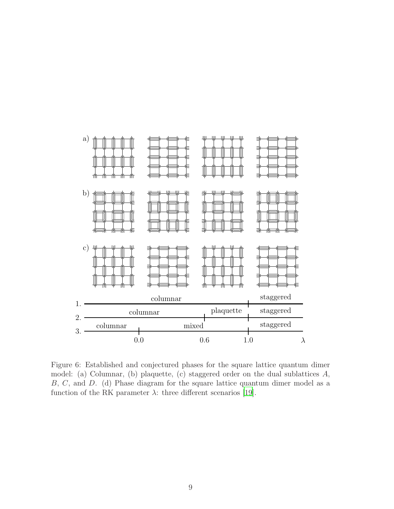

<span id="page-8-0"></span>Figure 6: Established and conjectured phases for the square lattice quantum dimer model: (a) Columnar, (b) plaquette, (c) staggered order on the dual sublattices A, B, C, and D. (d) Phase diagram for the square lattice quantum dimer model as a function of the RK parameter  $\lambda$ : three different scenarios [\[19](#page-33-3)].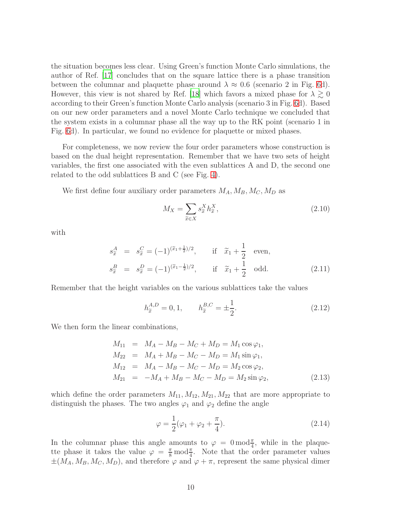the situation becomes less clear. Using Green's function Monte Carlo simulations, the author of Ref. [\[17](#page-33-1)] concludes that on the square lattice there is a phase transition between the columnar and plaquette phase around  $\lambda \approx 0.6$  (scenario 2 in Fig. [6d](#page-8-0)). However, this view is not shared by Ref. [\[18](#page-33-2)] which favors a mixed phase for  $\lambda \gtrsim 0$ according to their Green's function Monte Carlo analysis (scenario 3 in Fig. [6d](#page-8-0)). Based on our new order parameters and a novel Monte Carlo technique we concluded that the system exists in a columnar phase all the way up to the RK point (scenario 1 in Fig. [6d](#page-8-0)). In particular, we found no evidence for plaquette or mixed phases.

For completeness, we now review the four order parameters whose construction is based on the dual height representation. Remember that we have two sets of height variables, the first one associated with the even sublattices A and D, the second one related to the odd sublattices B and C (see Fig. [4\)](#page-5-0).

We first define four auxiliary order parameters  $M_A, M_B, M_C, M_D$  as

$$
M_X = \sum_{\tilde{x} \in X} s_{\tilde{x}}^X h_{\tilde{x}}^X,\tag{2.10}
$$

with

$$
s_{\tilde{x}}^{A} = s_{\tilde{x}}^{C} = (-1)^{(\tilde{x}_{1} + \frac{1}{2})/2}, \quad \text{if } \tilde{x}_{1} + \frac{1}{2} \text{ even},
$$
  
\n
$$
s_{\tilde{x}}^{B} = s_{\tilde{x}}^{D} = (-1)^{(\tilde{x}_{1} - \frac{1}{2})/2}, \quad \text{if } \tilde{x}_{1} + \frac{1}{2} \text{ odd.}
$$
\n(2.11)

Remember that the height variables on the various sublattices take the values

$$
h_{\tilde{x}}^{A,D} = 0, 1, \qquad h_{\tilde{x}}^{B,C} = \pm \frac{1}{2}.
$$
 (2.12)

We then form the linear combinations,

<span id="page-9-0"></span>
$$
M_{11} = M_A - M_B - M_C + M_D = M_1 \cos \varphi_1,
$$
  
\n
$$
M_{22} = M_A + M_B - M_C - M_D = M_1 \sin \varphi_1,
$$
  
\n
$$
M_{12} = M_A - M_B - M_C - M_D = M_2 \cos \varphi_2,
$$
  
\n
$$
M_{21} = -M_A + M_B - M_C - M_D = M_2 \sin \varphi_2,
$$
\n(2.13)

which define the order parameters  $M_{11}, M_{12}, M_{21}, M_{22}$  that are more appropriate to distinguish the phases. The two angles  $\varphi_1$  and  $\varphi_2$  define the angle

$$
\varphi = \frac{1}{2}(\varphi_1 + \varphi_2 + \frac{\pi}{4}).\tag{2.14}
$$

In the columnar phase this angle amounts to  $\varphi = 0 \mod_{\frac{\pi}{4}}$ , while in the plaquette phase it takes the value  $\varphi = \frac{\pi}{8} \mod \frac{\pi}{4}$ . Note that the order parameter values  $\pm(M_A, M_B, M_C, M_D)$ , and therefore  $\varphi$  and  $\varphi + \pi$ , represent the same physical dimer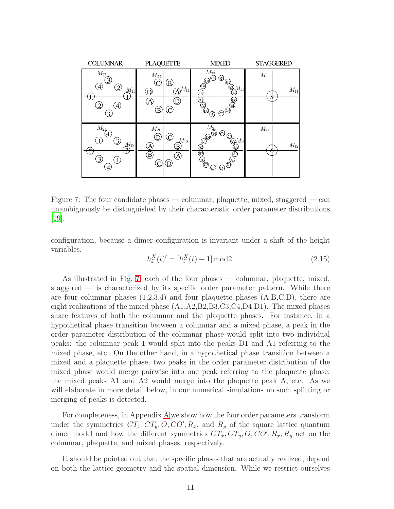

<span id="page-10-0"></span>Figure 7: The four candidate phases — columnar, plaquette, mixed, staggered — can unambiguously be distinguished by their characteristic order parameter distributions [\[19](#page-33-3)].

configuration, because a dimer configuration is invariant under a shift of the height variables,

$$
h_{\tilde{x}}^{X}(t)' = [h_{\tilde{x}}^{X}(t) + 1] \bmod 2.
$$
 (2.15)

As illustrated in Fig. [7,](#page-10-0) each of the four phases — columnar, plaquette, mixed, staggered — is characterized by its specific order parameter pattern. While there are four columnar phases  $(1,2,3,4)$  and four plaquette phases  $(A,B,C,D)$ , there are eight realizations of the mixed phase  $(A1, A2, B2, B3, C3, C4, D4, D1)$ . The mixed phases share features of both the columnar and the plaquette phases. For instance, in a hypothetical phase transition between a columnar and a mixed phase, a peak in the order parameter distribution of the columnar phase would split into two individual peaks: the columnar peak 1 would split into the peaks D1 and A1 referring to the mixed phase, etc. On the other hand, in a hypothetical phase transition between a mixed and a plaquette phase, two peaks in the order parameter distribution of the mixed phase would merge pairwise into one peak referring to the plaquette phase: the mixed peaks A1 and A2 would merge into the plaquette peak A, etc. As we will elaborate in more detail below, in our numerical simulations no such splitting or merging of peaks is detected.

For completeness, in Appendix [A](#page-31-0) we show how the four order parameters transform under the symmetries  $CT_x, CT_y, O, CO', R_x$ , and  $R_y$  of the square lattice quantum dimer model and how the different symmetries  $CT_x, CT_y, O, CO', R_x, R_y$  act on the columnar, plaquette, and mixed phases, respectively.

It should be pointed out that the specific phases that are actually realized, depend on both the lattice geometry and the spatial dimension. While we restrict ourselves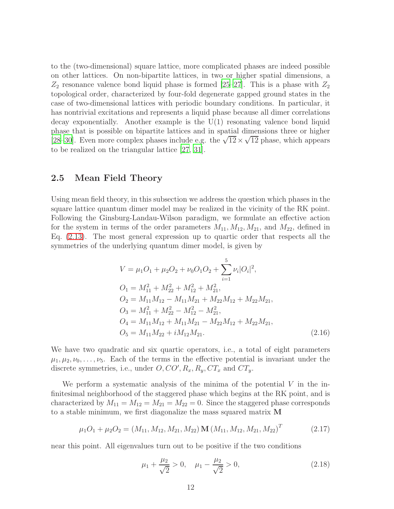to the (two-dimensional) square lattice, more complicated phases are indeed possible on other lattices. On non-bipartite lattices, in two or higher spatial dimensions, a  $Z_2$  resonance valence bond liquid phase is formed [\[25](#page-33-8)[–27\]](#page-33-9). This is a phase with  $Z_2$ topological order, characterized by four-fold degenerate gapped ground states in the case of two-dimensional lattices with periodic boundary conditions. In particular, it has nontrivial excitations and represents a liquid phase because all dimer correlations decay exponentially. Another example is the  $U(1)$  resonating valence bond liquid phase that is possible on bipartite lattices and in spatial dimensions three or higher [\[28](#page-33-10)[–30\]](#page-33-11). Even more complex phases include e.g. the  $\sqrt{12} \times \sqrt{12}$  phase, which appears to be realized on the triangular lattice [\[27](#page-33-9), [31](#page-33-12)].

### 2.5 Mean Field Theory

Using mean field theory, in this subsection we address the question which phases in the square lattice quantum dimer model may be realized in the vicinity of the RK point. Following the Ginsburg-Landau-Wilson paradigm, we formulate an effective action for the system in terms of the order parameters  $M_{11}, M_{12}, M_{21}$ , and  $M_{22}$ , defined in Eq. [\(2.13\)](#page-9-0). The most general expression up to quartic order that respects all the symmetries of the underlying quantum dimer model, is given by

<span id="page-11-0"></span>
$$
V = \mu_1 O_1 + \mu_2 O_2 + \nu_0 O_1 O_2 + \sum_{i=1}^5 \nu_i |O_i|^2,
$$
  
\n
$$
O_1 = M_{11}^2 + M_{22}^2 + M_{12}^2 + M_{21}^2,
$$
  
\n
$$
O_2 = M_{11} M_{12} - M_{11} M_{21} + M_{22} M_{12} + M_{22} M_{21},
$$
  
\n
$$
O_3 = M_{11}^2 + M_{22}^2 - M_{12}^2 - M_{21}^2,
$$
  
\n
$$
O_4 = M_{11} M_{12} + M_{11} M_{21} - M_{22} M_{12} + M_{22} M_{21},
$$
  
\n
$$
O_5 = M_{11} M_{22} + i M_{12} M_{21}.
$$
\n(2.16)

We have two quadratic and six quartic operators, i.e., a total of eight parameters  $\mu_1, \mu_2, \nu_0, \ldots, \nu_5$ . Each of the terms in the effective potential is invariant under the discrete symmetries, i.e., under  $O, CO', R_x, R_y, CT_x$  and  $CT_y$ .

We perform a systematic analysis of the minima of the potential  $V$  in the infinitesimal neighborhood of the staggered phase which begins at the RK point, and is characterized by  $M_{11} = M_{12} = M_{21} = M_{22} = 0$ . Since the staggered phase corresponds to a stable minimum, we first diagonalize the mass squared matrix M

$$
\mu_1 O_1 + \mu_2 O_2 = (M_{11}, M_{12}, M_{21}, M_{22}) \mathbf{M} (M_{11}, M_{12}, M_{21}, M_{22})^T
$$
(2.17)

near this point. All eigenvalues turn out to be positive if the two conditions

$$
\mu_1 + \frac{\mu_2}{\sqrt{2}} > 0, \quad \mu_1 - \frac{\mu_2}{\sqrt{2}} > 0,
$$
\n(2.18)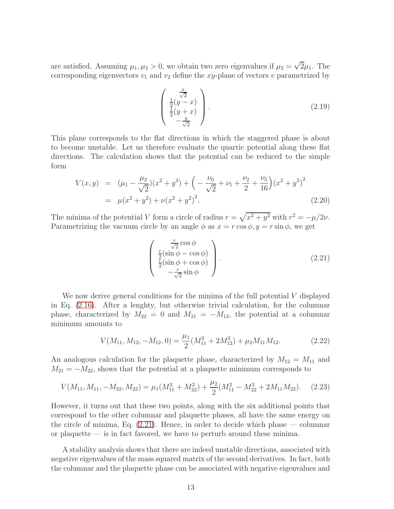are satisfied. Assuming  $\mu_1, \mu_2 > 0$ , we obtain two zero eigenvalues if  $\mu_2 = \sqrt{2}\mu_1$ . The corresponding eigenvectors  $v_1$  and  $v_2$  define the xy-plane of vectors v parametrized by

$$
\begin{pmatrix}\n\frac{x}{\sqrt{2}} \\
\frac{1}{2}(y-x) \\
\frac{1}{2}(y+x) \\
-\frac{y}{\sqrt{2}}\n\end{pmatrix}.
$$
\n(2.19)

This plane corresponds to the flat directions in which the staggered phase is about to become unstable. Let us therefore evaluate the quartic potential along these flat directions. The calculation shows that the potential can be reduced to the simple form

$$
V(x,y) = (\mu_1 - \frac{\mu_2}{\sqrt{2}})(x^2 + y^2) + \left(-\frac{\nu_0}{\sqrt{2}} + \nu_1 + \frac{\nu_2}{2} + \frac{\nu_5}{16}\right)(x^2 + y^2)^2
$$
  
=  $\mu(x^2 + y^2) + \nu(x^2 + y^2)^2.$  (2.20)

The minima of the potential V form a circle of radius  $r = \sqrt{x^2 + y^2}$  with  $r^2 = -\mu/2\nu$ . Parametrizing the vacuum circle by an angle  $\phi$  as  $x = r \cos \phi, y = r \sin \phi$ , we get

<span id="page-12-0"></span>
$$
\begin{pmatrix}\n\frac{r}{\sqrt{2}}\cos\phi \\
\frac{r}{2}(\sin\phi - \cos\phi) \\
\frac{r}{2}(\sin\phi + \cos\phi) \\
-\frac{r}{\sqrt{2}}\sin\phi\n\end{pmatrix}.
$$
\n(2.21)

We now derive general conditions for the minima of the full potential  $V$  displayed in Eq. [\(2.16\)](#page-11-0). After a lenghty, but otherwise trivial calculation, for the columnar phase, characterized by  $M_{22} = 0$  and  $M_{21} = -M_{12}$ , the potential at a columnar minimum amounts to

$$
V(M_{11}, M_{12}, -M_{12}, 0) = \frac{\mu_1}{2}(M_{11}^2 + 2M_{12}^2) + \mu_2 M_{11} M_{12}.
$$
 (2.22)

An analogous calculation for the plaquette phase, characterized by  $M_{12} = M_{11}$  and  $M_{21} = -M_{22}$ , shows that the potential at a plaquette minimum corresponds to

$$
V(M_{11}, M_{11}, -M_{22}, M_{22}) = \mu_1(M_{11}^2 + M_{22}^2) + \frac{\mu_2}{2}(M_{11}^2 - M_{22}^2 + 2M_{11}M_{22}).
$$
 (2.23)

However, it turns out that these two points, along with the six additional points that correspond to the other columnar and plaquette phases, all have the same energy on the circle of minima, Eq.  $(2.21)$ . Hence, in order to decide which phase — columnar or plaquette — is in fact favored, we have to perturb around these minima.

A stability analysis shows that there are indeed unstable directions, associated with negative eigenvalues of the mass squared matrix of the second derivatives. In fact, both the columnar and the plaquette phase can be associated with negative eigenvalues and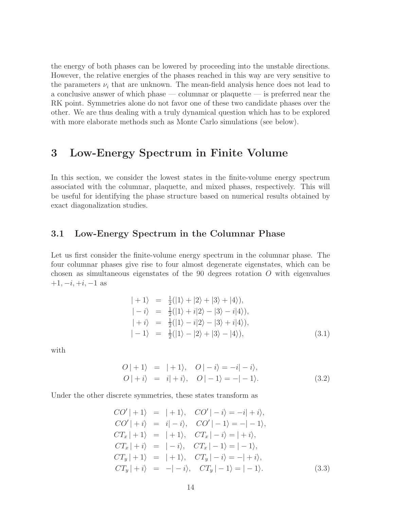the energy of both phases can be lowered by proceeding into the unstable directions. However, the relative energies of the phases reached in this way are very sensitive to the parameters  $\nu_i$  that are unknown. The mean-field analysis hence does not lead to a conclusive answer of which phase — columnar or plaquette — is preferred near the RK point. Symmetries alone do not favor one of these two candidate phases over the other. We are thus dealing with a truly dynamical question which has to be explored with more elaborate methods such as Monte Carlo simulations (see below).

## <span id="page-13-0"></span>3 Low-Energy Spectrum in Finite Volume

In this section, we consider the lowest states in the finite-volume energy spectrum associated with the columnar, plaquette, and mixed phases, respectively. This will be useful for identifying the phase structure based on numerical results obtained by exact diagonalization studies.

#### 3.1 Low-Energy Spectrum in the Columnar Phase

Let us first consider the finite-volume energy spectrum in the columnar phase. The four columnar phases give rise to four almost degenerate eigenstates, which can be chosen as simultaneous eigenstates of the 90 degrees rotation  $O$  with eigenvalues  $+1, -i, +i, -1$  as

$$
| + 1 \rangle = \frac{1}{2}(|1\rangle + |2\rangle + |3\rangle + |4\rangle), |-i\rangle = \frac{1}{2}(|1\rangle + i|2\rangle - |3\rangle - i|4\rangle), |-i\rangle = \frac{1}{2}(|1\rangle - i|2\rangle - |3\rangle + i|4\rangle), |-1\rangle = \frac{1}{2}(|1\rangle - |2\rangle + |3\rangle - |4\rangle),
$$
 (3.1)

with

$$
O| + 1\rangle = | + 1\rangle, \quad O | - i\rangle = -i | - i\rangle, \nO | + i\rangle = i | + i\rangle, \quad O | - 1\rangle = -| - 1\rangle.
$$
\n(3.2)

Under the other discrete symmetries, these states transform as

$$
CO'| + 1\rangle = | + 1\rangle, \quad CO'|-i\rangle = -i| + i\rangle,
$$
  
\n
$$
CO'| + i\rangle = i| - i\rangle, \quad CO'|-1\rangle = -|-1\rangle,
$$
  
\n
$$
CT_x| + 1\rangle = | + 1\rangle, \quad CT_x| - i\rangle = | + i\rangle,
$$
  
\n
$$
CT_x| + i\rangle = |-i\rangle, \quad CT_x|-1\rangle = |-1\rangle,
$$
  
\n
$$
CT_y| + 1\rangle = | + 1\rangle, \quad CT_y| - i\rangle = -| + i\rangle,
$$
  
\n
$$
CT_y| + i\rangle = -| - i\rangle, \quad CT_y| - 1\rangle = |-1\rangle.
$$
\n(3.3)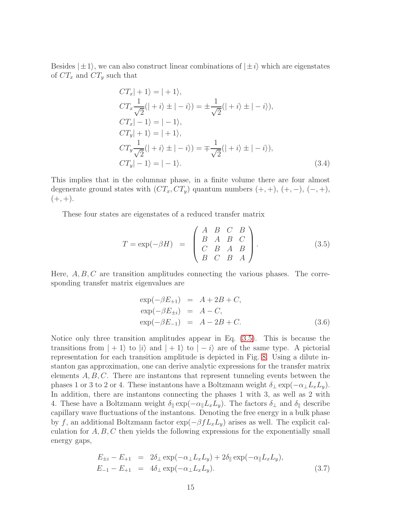Besides  $|\pm 1\rangle$ , we can also construct linear combinations of  $|\pm i\rangle$  which are eigenstates of  $CT_x$  and  $CT_y$  such that

$$
CT_x|+1\rangle = |+1\rangle,
$$
  
\n
$$
CT_x \frac{1}{\sqrt{2}}(|+i\rangle \pm |-i\rangle) = \pm \frac{1}{\sqrt{2}}(|+i\rangle \pm |-i\rangle),
$$
  
\n
$$
CT_x|-1\rangle = |-1\rangle,
$$
  
\n
$$
CT_y|+1\rangle = |+1\rangle,
$$
  
\n
$$
CT_y \frac{1}{\sqrt{2}}(|+i\rangle \pm |-i\rangle) = \mp \frac{1}{\sqrt{2}}(|+i\rangle \pm |-i\rangle),
$$
  
\n
$$
CT_y|-1\rangle = |-1\rangle.
$$
\n(3.4)

This implies that in the columnar phase, in a finite volume there are four almost degenerate ground states with  $(CT_x, CT_y)$  quantum numbers  $(+, +), (+, -), (-, +),$  $(+, +).$ 

These four states are eigenstates of a reduced transfer matrix

<span id="page-14-0"></span>
$$
T = \exp(-\beta H) = \begin{pmatrix} A & B & C & B \\ B & A & B & C \\ C & B & A & B \\ B & C & B & A \end{pmatrix}.
$$
 (3.5)

Here,  $A, B, C$  are transition amplitudes connecting the various phases. The corresponding transfer matrix eigenvalues are

$$
\exp(-\beta E_{+1}) = A + 2B + C,\n\exp(-\beta E_{\pm i}) = A - C,\n\exp(-\beta E_{-1}) = A - 2B + C.
$$
\n(3.6)

Notice only three transition amplitudes appear in Eq. [\(3.5\)](#page-14-0). This is because the transitions from  $|+1\rangle$  to  $|i\rangle$  and  $|+1\rangle$  to  $|-i\rangle$  are of the same type. A pictorial representation for each transition amplitude is depicted in Fig. [8.](#page-15-0) Using a dilute instanton gas approximation, one can derive analytic expressions for the transfer matrix elements  $A, B, C$ . There are instantons that represent tunneling events between the phases 1 or 3 to 2 or 4. These instantons have a Boltzmann weight  $\delta_{\perp} \exp(-\alpha_{\perp} L_x L_y)$ . In addition, there are instantons connecting the phases 1 with 3, as well as 2 with 4. These have a Boltzmann weight  $\delta_{\parallel} \exp(-\alpha_{\parallel}L_xL_y)$ . The factors  $\delta_{\perp}$  and  $\delta_{\parallel}$  describe capillary wave fluctuations of the instantons. Denoting the free energy in a bulk phase by f, an additional Boltzmann factor  $\exp(-\beta f L_x L_y)$  arises as well. The explicit calculation for  $A, B, C$  then yields the following expressions for the exponentially small energy gaps,

$$
E_{\pm i} - E_{+1} = 2\delta_{\perp} \exp(-\alpha_{\perp} L_x L_y) + 2\delta_{\parallel} \exp(-\alpha_{\parallel} L_x L_y),
$$
  
\n
$$
E_{-1} - E_{+1} = 4\delta_{\perp} \exp(-\alpha_{\perp} L_x L_y).
$$
\n(3.7)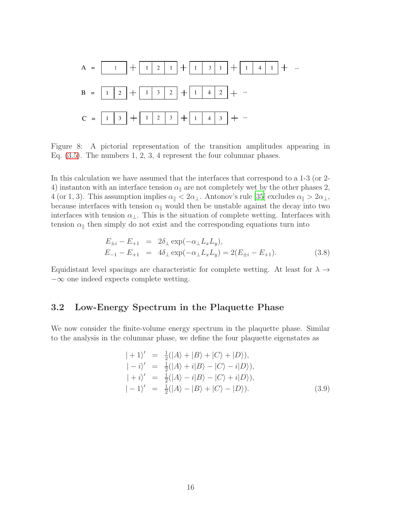

<span id="page-15-0"></span>Figure 8: A pictorial representation of the transition amplitudes appearing in Eq. [\(3.5\)](#page-14-0). The numbers 1, 2, 3, 4 represent the four columnar phases.

In this calculation we have assumed that the interfaces that correspond to a 1-3 (or 2- 4) instanton with an interface tension  $\alpha_{\parallel}$  are not completely wet by the other phases 2, 4 (or 1, 3). This assumption implies  $\alpha_{\parallel} < 2\alpha_{\perp}$ . Antonov's rule [\[35\]](#page-34-0) excludes  $\alpha_{\parallel} > 2\alpha_{\perp}$ , because interfaces with tension  $\alpha_{\parallel}$  would then be unstable against the decay into two interfaces with tension  $\alpha_{\perp}$ . This is the situation of complete wetting. Interfaces with tension  $\alpha_{\parallel}$  then simply do not exist and the corresponding equations turn into

$$
E_{\pm i} - E_{+1} = 2\delta_{\perp} \exp(-\alpha_{\perp} L_x L_y),
$$
  
\n
$$
E_{-1} - E_{+1} = 4\delta_{\perp} \exp(-\alpha_{\perp} L_x L_y) = 2(E_{\pm i} - E_{+1}).
$$
\n(3.8)

Equidistant level spacings are characteristic for complete wetting. At least for  $\lambda \rightarrow$ −∞ one indeed expects complete wetting.

### 3.2 Low-Energy Spectrum in the Plaquette Phase

We now consider the finite-volume energy spectrum in the plaquette phase. Similar to the analysis in the columnar phase, we define the four plaquette eigenstates as

$$
| + 1 \rangle' = \frac{1}{2}(|A\rangle + |B\rangle + |C\rangle + |D\rangle),
$$
  
\n
$$
| - i \rangle' = \frac{1}{2}(|A\rangle + i|B\rangle - |C\rangle - i|D\rangle),
$$
  
\n
$$
| + i \rangle' = \frac{1}{2}(|A\rangle - i|B\rangle - |C\rangle + i|D\rangle),
$$
  
\n
$$
|-1 \rangle' = \frac{1}{2}(|A\rangle - |B\rangle + |C\rangle - |D\rangle).
$$
 (3.9)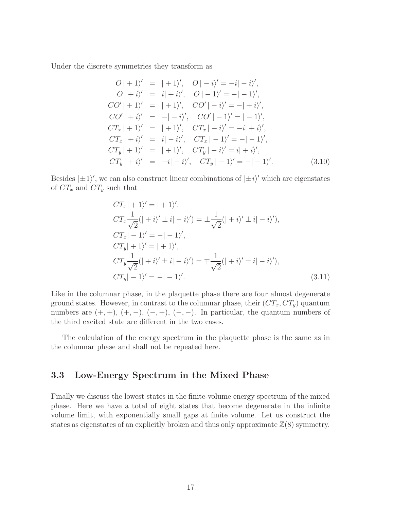Under the discrete symmetries they transform as

$$
O| + 1 \rangle' = | + 1 \rangle', \quad O| - i \rangle' = -i| - i \rangle',
$$
  
\n
$$
O| + i \rangle' = i| + i \rangle', \quad O| - 1 \rangle' = -| - 1 \rangle',
$$
  
\n
$$
CO'| + 1 \rangle' = | + 1 \rangle', \quad CO'| - i \rangle' = -| + i \rangle',
$$
  
\n
$$
CO'| + i \rangle' = -| - i \rangle', \quad CO'| - 1 \rangle' = | - 1 \rangle',
$$
  
\n
$$
CT_x | + 1 \rangle' = | + 1 \rangle', \quad CT_x | - i \rangle' = -i| + i \rangle',
$$
  
\n
$$
CT_x | + i \rangle' = i| - i \rangle', \quad CT_x | - 1 \rangle' = -| - 1 \rangle',
$$
  
\n
$$
CT_y | + 1 \rangle' = | + 1 \rangle', \quad CT_y | - i \rangle' = i| + i \rangle',
$$
  
\n
$$
CT_y | + i \rangle' = -i| - i \rangle', \quad CT_y | - 1 \rangle' = -| - 1 \rangle'.
$$
  
\n(3.10)

Besides  $|\pm 1\rangle'$ , we can also construct linear combinations of  $|\pm i\rangle'$  which are eigenstates of  $CT_x$  and  $CT_y$  such that

$$
CT_x| + 1)' = | + 1 \rangle',
$$
  
\n
$$
CT_x \frac{1}{\sqrt{2}}(| + i \rangle' \pm i | - i \rangle') = \pm \frac{1}{\sqrt{2}}(| + i \rangle' \pm i | - i \rangle'),
$$
  
\n
$$
CT_x| - 1)' = -| - 1 \rangle',
$$
  
\n
$$
CT_y| + 1)' = | + 1 \rangle',
$$
  
\n
$$
CT_y \frac{1}{\sqrt{2}}(| + i \rangle' \pm i | - i \rangle') = \mp \frac{1}{\sqrt{2}}(| + i \rangle' \pm i | - i \rangle'),
$$
  
\n
$$
CT_y| - 1)' = -| - 1 \rangle'.
$$
\n(3.11)

Like in the columnar phase, in the plaquette phase there are four almost degenerate ground states. However, in contrast to the columnar phase, their  $(CT_x, CT_y)$  quantum numbers are  $(+, +), (+, -), (-, +), (-, -)$ . In particular, the quantum numbers of the third excited state are different in the two cases.

The calculation of the energy spectrum in the plaquette phase is the same as in the columnar phase and shall not be repeated here.

## 3.3 Low-Energy Spectrum in the Mixed Phase

Finally we discuss the lowest states in the finite-volume energy spectrum of the mixed phase. Here we have a total of eight states that become degenerate in the infinite volume limit, with exponentially small gaps at finite volume. Let us construct the states as eigenstates of an explicitly broken and thus only approximate  $\mathbb{Z}(8)$  symmetry.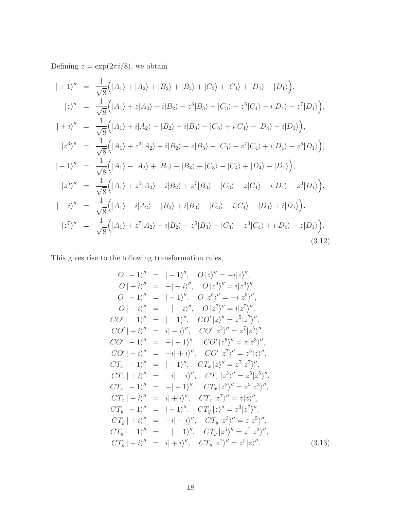Defining  $z = \exp(2\pi i/8)$ , we obtain

$$
| + 1 \rangle'' = \frac{1}{\sqrt{8}} (|A_1\rangle + |A_2\rangle + |B_2\rangle + |B_3\rangle + |C_3\rangle + |C_4\rangle + |D_4\rangle + |D_1\rangle),
$$
  
\n
$$
|z\rangle'' = \frac{1}{\sqrt{8}} (|A_1\rangle + z|A_2\rangle + i|B_2\rangle + z^3|B_3\rangle - |C_3\rangle + z^5|C_4\rangle - i|D_4\rangle + z^7|D_1\rangle),
$$
  
\n
$$
| + i \rangle'' = \frac{1}{\sqrt{8}} (|A_1\rangle + i|A_2\rangle - |B_2\rangle - i|B_3\rangle + |C_3\rangle + i|C_4\rangle - |D_4\rangle - i|D_1\rangle),
$$
  
\n
$$
|z^3\rangle'' = \frac{1}{\sqrt{8}} (|A_1\rangle + z^3|A_2\rangle - i|B_2\rangle + z|B_3\rangle - |C_3\rangle + z^7|C_4\rangle + i|D_4\rangle + z^5|D_1\rangle),
$$
  
\n
$$
|-1\rangle'' = \frac{1}{\sqrt{8}} (|A_1\rangle - |A_2\rangle + |B_2\rangle - |B_3\rangle + |C_3\rangle - |C_4\rangle + |D_4\rangle - |D_1\rangle),
$$
  
\n
$$
|z^5\rangle'' = \frac{1}{\sqrt{8}} (|A_1\rangle + z^5|A_2\rangle + i|B_2\rangle + z^7|B_3\rangle - |C_3\rangle + z|C_4\rangle - i|D_4\rangle + z^3|D_1\rangle),
$$
  
\n
$$
|-i\rangle'' = \frac{1}{\sqrt{8}} (|A_1\rangle - i|A_2\rangle - |B_2\rangle + i|B_3\rangle + |C_3\rangle - i|C_4\rangle - |D_4\rangle + i|D_1\rangle),
$$
  
\n
$$
|z^7\rangle'' = \frac{1}{\sqrt{8}} (|A_1\rangle + z^7|A_2\rangle - i|B_2\rangle + z^5|B_3\rangle - |C_3\rangle + z^3|C_4\rangle + i|D_4\rangle + z|D_1\rangle).
$$
  
\n(3.12)

This gives rise to the following transformation rules,

$$
O| + 1 \rangle'' = | + 1 \rangle'', \quad O|z \rangle'' = -i|z \rangle'',
$$
  
\n
$$
O| + i \rangle'' = -| + i \rangle'', \quad O|z^{3} \rangle'' = i|z^{3} \rangle'',
$$
  
\n
$$
O|-1 \rangle'' = |-1 \rangle'', \quad O|z^{5} \rangle'' = -i|z^{5} \rangle'',
$$
  
\n
$$
O|-i \rangle'' = -|-i \rangle'', \quad O|z^{7} \rangle'' = i|z^{7} \rangle'',
$$
  
\n
$$
CO'| + 1 \rangle'' = | + 1 \rangle'', \quad CO'|z \rangle'' = z^{5} |z^{7} \rangle'',
$$
  
\n
$$
CO'| + i \rangle'' = i| -i \rangle'', \quad CO'|z^{3} \rangle'' = z^{7} |z^{5} \rangle'',
$$
  
\n
$$
CO'| - 1 \rangle'' = -|-1 \rangle'', \quad CO'|z^{5} \rangle'' = z|z^{3} \rangle'',
$$
  
\n
$$
CO'| - i \rangle'' = -i| + i \rangle'', \quad CO'|z^{7} \rangle'' = z^{3} |z \rangle'',
$$
  
\n
$$
CT_{x}| + 1 \rangle'' = | + 1 \rangle'', \quad CT_{x}|z \rangle'' = z^{7} |z^{7} \rangle'',
$$
  
\n
$$
CT_{x}| + i \rangle'' = -i| - i \rangle'', \quad CT_{x}|z^{3} \rangle'' = z^{5} |z^{5} \rangle'',
$$
  
\n
$$
CT_{x}| - 1 \rangle'' = -|-1 \rangle'', \quad CT_{x}|z^{5} \rangle'' = z^{3} |z^{3} \rangle'',
$$
  
\n
$$
CT_{x}| - i \rangle'' = i| + i \rangle'', \quad CT_{x}|z^{7} \rangle'' = z|z \rangle'',
$$
  
\n
$$
CT_{y}| + 1 \rangle'' = | + 1 \rangle'', \quad CT_{y}|z \rangle'' = z^{3} |z^{7} \rangle'',
$$
  
\n
$$
CT_{y}| + i \rangle'' = -i| - i \rangle'', \quad CT_{y}|z^{3} \rangle'' = z|z^{5} \rangle'',
$$
  
\n
$$
CT_{y}| - i \rangle'' = -|-1 \rangle'', \quad CT_{y}|z^{5} \rangle'' = z^{7} |z^{3} \rangle'',
$$
  
\n
$$
CT_{y}| -
$$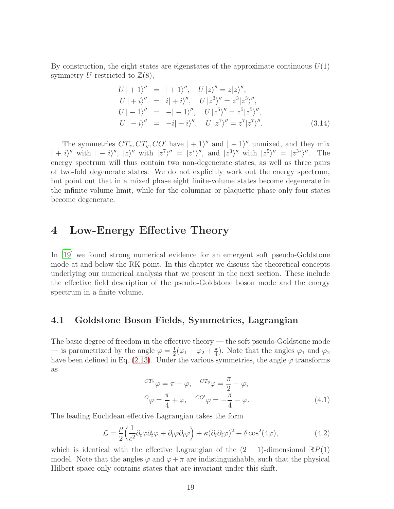By construction, the eight states are eigenstates of the approximate continuous  $U(1)$ symmetry U restricted to  $\mathbb{Z}(8)$ ,

$$
U| + 1 \rangle'' = | + 1 \rangle'', \quad U|z \rangle'' = z|z \rangle'',
$$
  
\n
$$
U| + i \rangle'' = i| + i \rangle'', \quad U|z^3 \rangle'' = z^3|z^3 \rangle'',
$$
  
\n
$$
U| - 1 \rangle'' = -| -1 \rangle'', \quad U|z^5 \rangle'' = z^5|z^5 \rangle'',
$$
  
\n
$$
U| - i \rangle'' = -i| - i \rangle'', \quad U|z^7 \rangle'' = z^7|z^7 \rangle''.
$$
\n(3.14)

The symmetries  $CT_x, CT_y, CO'$  have  $| + 1 \rangle''$  and  $| - 1 \rangle''$  unmixed, and they mix  $| + i \rangle''$  with  $| - i \rangle''$ ,  $| z \rangle''$  with  $| z^7 \rangle'' = | z^* \rangle''$ , and  $| z^3 \rangle''$  with  $| z^5 \rangle'' = | z^{3*} \rangle''$ . The energy spectrum will thus contain two non-degenerate states, as well as three pairs of two-fold degenerate states. We do not explicitly work out the energy spectrum, but point out that in a mixed phase eight finite-volume states become degenerate in the infinite volume limit, while for the columnar or plaquette phase only four states become degenerate.

# <span id="page-18-0"></span>4 Low-Energy Effective Theory

In [\[19](#page-33-3)] we found strong numerical evidence for an emergent soft pseudo-Goldstone mode at and below the RK point. In this chapter we discuss the theoretical concepts underlying our numerical analysis that we present in the next section. These include the effective field description of the pseudo-Goldstone boson mode and the energy spectrum in a finite volume.

### 4.1 Goldstone Boson Fields, Symmetries, Lagrangian

The basic degree of freedom in the effective theory — the soft pseudo-Goldstone mode — is parametrized by the angle  $\varphi = \frac{1}{2}$  $\frac{1}{2}(\varphi_1 + \varphi_2 + \frac{\pi}{4})$  $\frac{\pi}{4}$ ). Note that the angles  $\varphi_1$  and  $\varphi_2$ have been defined in Eq. [\(2.13\)](#page-9-0). Under the various symmetries, the angle  $\varphi$  transforms as

$$
^{CT_x}\varphi = \pi - \varphi, \quad {^{CT_y}\varphi = \frac{\pi}{2} - \varphi},
$$
  
\n
$$
^{O}\varphi = \frac{\pi}{4} + \varphi, \quad {^{CO'}\varphi = -\frac{\pi}{4} - \varphi}. \tag{4.1}
$$

The leading Euclidean effective Lagrangian takes the form

$$
\mathcal{L} = \frac{\rho}{2} \left( \frac{1}{c^2} \partial_t \varphi \partial_t \varphi + \partial_i \varphi \partial_i \varphi \right) + \kappa (\partial_i \partial_i \varphi)^2 + \delta \cos^2(4\varphi), \tag{4.2}
$$

which is identical with the effective Lagrangian of the  $(2 + 1)$ -dimensional  $\mathbb{R}P(1)$ model. Note that the angles  $\varphi$  and  $\varphi + \pi$  are indistinguishable, such that the physical Hilbert space only contains states that are invariant under this shift.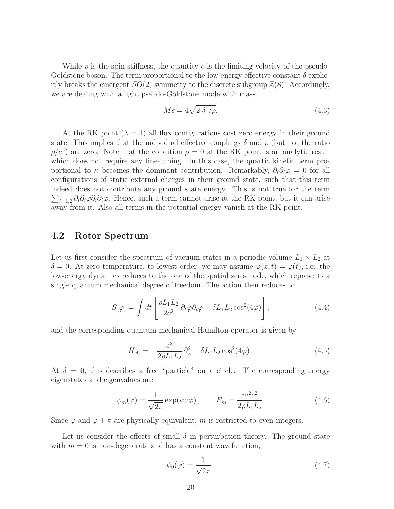While  $\rho$  is the spin stiffness, the quantity c is the limiting velocity of the pseudo-Goldstone boson. The term proportional to the low-energy effective constant  $\delta$  explicitly breaks the emergent  $SO(2)$  symmetry to the discrete subgroup  $\mathbb{Z}(8)$ . Accordingly, we are dealing with a light pseudo-Goldstone mode with mass

$$
Mc = 4\sqrt{2|\delta|/\rho}.\tag{4.3}
$$

At the RK point  $(\lambda = 1)$  all flux configurations cost zero energy in their ground state. This implies that the individual effective couplings  $\delta$  and  $\rho$  (but not the ratio  $\rho/c^2$  are zero. Note that the condition  $\rho = 0$  at the RK point is an analytic result which does not require any fine-tuning. In this case, the quartic kinetic term proportional to  $\kappa$  becomes the dominant contribution. Remarkably,  $\partial_i \partial_i \varphi = 0$  for all configurations of static external charges in their ground state, such that this term indeed does not contribute any ground state energy. This is not tr ue for the term  $\sum_{i=1,2}\partial_i\partial_i\varphi\partial_i\partial_i\varphi$ . Hence, such a term cannot arise at the RK point, but it can arise away from it. Also all terms in the potential energy vanish at the RK point.

### 4.2 Rotor Spectrum

Let us first consider the spectrum of vacuum states in a periodic volume  $L_1 \times L_2$  at  $\delta = 0$ . At zero temperature, to lowest order, we may assume  $\varphi(x,t) = \varphi(t)$ , i.e. the low-energy dynamics reduces to the one of the spatial zero-mode, which represents a single quantum mechanical degree of freedom. The action then reduces to

$$
S[\varphi] = \int dt \left[ \frac{\rho L_1 L_2}{2c^2} \partial_t \varphi \partial_t \varphi + \delta L_1 L_2 \cos^2(4\varphi) \right],
$$
 (4.4)

and the corresponding quantum mechanical Hamilton operator is given by

$$
H_{\text{eff}} = -\frac{c^2}{2\rho L_1 L_2} \partial_{\varphi}^2 + \delta L_1 L_2 \cos^2(4\varphi) \,. \tag{4.5}
$$

At  $\delta = 0$ , this describes a free "particle" on a circle. The corresponding energy eigenstates and eigenvalues are

$$
\psi_m(\varphi) = \frac{1}{\sqrt{2\pi}} \exp(im\varphi), \qquad E_m = \frac{m^2 c^2}{2\rho L_1 L_2}.
$$
\n(4.6)

Since  $\varphi$  and  $\varphi + \pi$  are physically equivalent, m is restricted to even integers.

Let us consider the effects of small  $\delta$  in perturbation theory. The ground state with  $m = 0$  is non-degenerate and has a constant wavefunction,

$$
\psi_0(\varphi) = \frac{1}{\sqrt{2\pi}}.\tag{4.7}
$$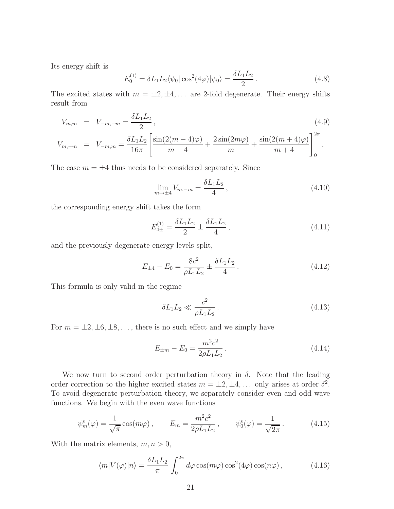Its energy shift is

$$
E_0^{(1)} = \delta L_1 L_2 \langle \psi_0 | \cos^2(4\varphi) | \psi_0 \rangle = \frac{\delta L_1 L_2}{2} \,. \tag{4.8}
$$

The excited states with  $m = \pm 2, \pm 4, \ldots$  are 2-fold degenerate. Their energy shifts result from

$$
V_{m,m} = V_{-m,-m} = \frac{\delta L_1 L_2}{2}, \tag{4.9}
$$

$$
V_{m,-m} = V_{-m,m} = \frac{\delta L_1 L_2}{16\pi} \left[ \frac{\sin(2(m-4)\varphi)}{m-4} + \frac{2\sin(2m\varphi)}{m} + \frac{\sin(2(m+4)\varphi)}{m+4} \right]_0^{2\pi}.
$$

The case  $m = \pm 4$  thus needs to be considered separately. Since

$$
\lim_{m \to \pm 4} V_{m,-m} = \frac{\delta L_1 L_2}{4},\tag{4.10}
$$

the corresponding energy shift takes the form

$$
E_{4\pm}^{(1)} = \frac{\delta L_1 L_2}{2} \pm \frac{\delta L_1 L_2}{4} \,,\tag{4.11}
$$

and the previously degenerate energy levels split,

$$
E_{\pm 4} - E_0 = \frac{8c^2}{\rho L_1 L_2} \pm \frac{\delta L_1 L_2}{4} \,. \tag{4.12}
$$

This formula is only valid in the regime

$$
\delta L_1 L_2 \ll \frac{c^2}{\rho L_1 L_2} \,. \tag{4.13}
$$

For  $m = \pm 2, \pm 6, \pm 8, \ldots$ , there is no such effect and we simply have

$$
E_{\pm m} - E_0 = \frac{m^2 c^2}{2\rho L_1 L_2} \,. \tag{4.14}
$$

We now turn to second order perturbation theory in  $\delta$ . Note that the leading order correction to the higher excited states  $m = \pm 2, \pm 4, \ldots$  only arises at order  $\delta^2$ . To avoid degenerate perturbation theory, we separately consider even and odd wave functions. We begin with the even wave functions

$$
\psi_m^e(\varphi) = \frac{1}{\sqrt{\pi}} \cos(m\varphi) \,, \qquad E_m = \frac{m^2 c^2}{2\rho L_1 L_2} \,, \qquad \psi_0^e(\varphi) = \frac{1}{\sqrt{2\pi}} \,. \tag{4.15}
$$

With the matrix elements,  $m, n > 0$ ,

$$
\langle m|V(\varphi)|n\rangle = \frac{\delta L_1 L_2}{\pi} \int_0^{2\pi} d\varphi \cos(m\varphi) \cos^2(4\varphi) \cos(n\varphi), \qquad (4.16)
$$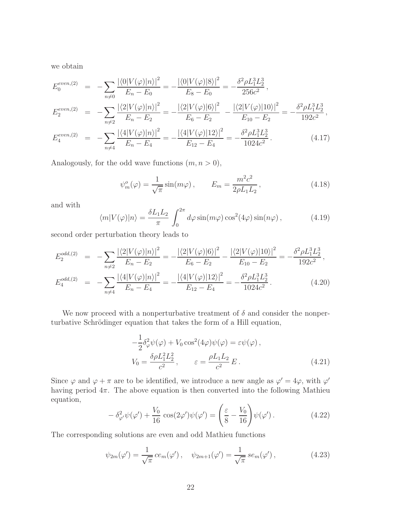we obtain

$$
E_0^{even,(2)} = -\sum_{n\neq 0} \frac{|\langle 0|V(\varphi)|n\rangle|^2}{E_n - E_0} = -\frac{|\langle 0|V(\varphi)|8\rangle|^2}{E_8 - E_0} = -\frac{\delta^2 \rho L_1^3 L_2^3}{256c^2},
$$
  
\n
$$
E_2^{even,(2)} = -\sum_{n\neq 2} \frac{|\langle 2|V(\varphi)|n\rangle|^2}{E_n - E_2} = -\frac{|\langle 2|V(\varphi)|6\rangle|^2}{E_6 - E_2} - \frac{|\langle 2|V(\varphi)|10\rangle|^2}{E_{10} - E_2} = -\frac{\delta^2 \rho L_1^3 L_2^3}{192c^2},
$$
  
\n
$$
E_0^{even,(2)} = \sum_{n\neq 2} |\langle 4|V(\varphi)|n\rangle|^2 = |\langle 4|V(\varphi)|12\rangle|^2 = \delta^2 \rho L_1^3 L_2^3
$$

$$
E_4^{even,(2)} = -\sum_{n \neq 4} \frac{|\langle 4|V(\varphi)|n \rangle|^2}{E_n - E_4} = -\frac{|\langle 4|V(\varphi)|12 \rangle|^2}{E_{12} - E_4} = -\frac{\delta^2 \rho L_1^3 L_2^3}{1024c^2}.
$$
\n(4.17)

Analogously, for the odd wave functions  $(m, n > 0)$ ,

$$
\psi_m^o(\varphi) = \frac{1}{\sqrt{\pi}} \sin(m\varphi), \qquad E_m = \frac{m^2 c^2}{2\rho L_1 L_2}, \qquad (4.18)
$$

and with

$$
\langle m|V(\varphi)|n\rangle = \frac{\delta L_1 L_2}{\pi} \int_0^{2\pi} d\varphi \sin(m\varphi) \cos^2(4\varphi) \sin(n\varphi), \qquad (4.19)
$$

second order perturbation theory leads to

$$
E_2^{odd,(2)} = -\sum_{n\neq 2} \frac{|\langle 2|V(\varphi)|n\rangle|^2}{E_n - E_2} = -\frac{|\langle 2|V(\varphi)|6\rangle|^2}{E_6 - E_2} - \frac{|\langle 2|V(\varphi)|10\rangle|^2}{E_{10} - E_2} = -\frac{\delta^2 \rho L_1^3 L_2^3}{192c^2},
$$

$$
E_4^{odd,(2)} = -\sum_{n \neq 4} \frac{|\langle 4|V(\varphi)|n \rangle|^2}{E_n - E_4} = -\frac{|\langle 4|V(\varphi)|12 \rangle|^2}{E_{12} - E_4} = -\frac{\delta^2 \rho L_1^3 L_2^3}{1024c^2}.
$$
 (4.20)

We now proceed with a nonperturbative treatment of  $\delta$  and consider the nonperturbative Schrödinger equation that takes the form of a Hill equation,

$$
-\frac{1}{2}\delta_{\varphi}^{2}\psi(\varphi) + V_{0}\cos^{2}(4\varphi)\psi(\varphi) = \varepsilon\psi(\varphi),
$$
  
\n
$$
V_{0} = \frac{\delta\rho L_{1}^{2}L_{2}^{2}}{c^{2}}, \qquad \varepsilon = \frac{\rho L_{1}L_{2}}{c^{2}}E.
$$
\n(4.21)

Since  $\varphi$  and  $\varphi + \pi$  are to be identified, we introduce a new angle as  $\varphi' = 4\varphi$ , with  $\varphi'$ having period  $4\pi$ . The above equation is then converted into the following Mathieu equation,

$$
-\delta_{\varphi'}^2 \psi(\varphi') + \frac{V_0}{16} \cos(2\varphi')\psi(\varphi') = \left(\frac{\varepsilon}{8} - \frac{V_0}{16}\right)\psi(\varphi'). \tag{4.22}
$$

The corresponding solutions are even and odd Mathieu functions

$$
\psi_{2m}(\varphi') = \frac{1}{\sqrt{\pi}} c e_m(\varphi'), \quad \psi_{2m+1}(\varphi') = \frac{1}{\sqrt{\pi}} s e_m(\varphi'), \tag{4.23}
$$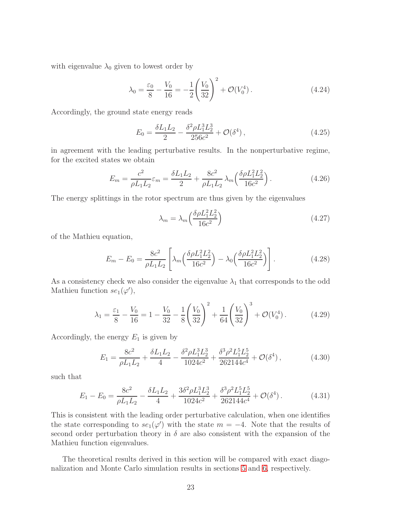with eigenvalue  $\lambda_0$  given to lowest order by

$$
\lambda_0 = \frac{\varepsilon_0}{8} - \frac{V_0}{16} = -\frac{1}{2} \left( \frac{V_0}{32} \right)^2 + \mathcal{O}(V_0^4) \,. \tag{4.24}
$$

Accordingly, the ground state energy reads

$$
E_0 = \frac{\delta L_1 L_2}{2} - \frac{\delta^2 \rho L_1^3 L_2^3}{256c^2} + \mathcal{O}(\delta^4) \,, \tag{4.25}
$$

in agreement with the leading perturbative results. In the nonperturbative regime, for the excited states we obtain

$$
E_m = \frac{c^2}{\rho L_1 L_2} \varepsilon_m = \frac{\delta L_1 L_2}{2} + \frac{8c^2}{\rho L_1 L_2} \lambda_m \left(\frac{\delta \rho L_1^2 L_2^2}{16c^2}\right).
$$
 (4.26)

The energy splittings in the rotor spectrum are thus given by the eigenvalues

$$
\lambda_m = \lambda_m \left( \frac{\delta \rho L_1^2 L_2^2}{16c^2} \right) \tag{4.27}
$$

of the Mathieu equation,

$$
E_m - E_0 = \frac{8c^2}{\rho L_1 L_2} \left[ \lambda_m \left( \frac{\delta \rho L_1^2 L_2^2}{16c^2} \right) - \lambda_0 \left( \frac{\delta \rho L_1^2 L_2^2}{16c^2} \right) \right].
$$
 (4.28)

As a consistency check we also consider the eigenvalue  $\lambda_1$  that corresponds to the odd Mathieu function  $se_1(\varphi'),$ 

$$
\lambda_1 = \frac{\varepsilon_1}{8} - \frac{V_0}{16} = 1 - \frac{V_0}{32} - \frac{1}{8} \left( \frac{V_0}{32} \right)^2 + \frac{1}{64} \left( \frac{V_0}{32} \right)^3 + \mathcal{O}(V_0^4). \tag{4.29}
$$

Accordingly, the energy  $E_1$  is given by

$$
E_1 = \frac{8c^2}{\rho L_1 L_2} + \frac{\delta L_1 L_2}{4} - \frac{\delta^2 \rho L_1^3 L_2^3}{1024c^2} + \frac{\delta^3 \rho^2 L_1^5 L_2^5}{262144c^4} + \mathcal{O}(\delta^4) \,,\tag{4.30}
$$

such that

$$
E_1 - E_0 = \frac{8c^2}{\rho L_1 L_2} - \frac{\delta L_1 L_2}{4} + \frac{3\delta^2 \rho L_1^3 L_2^3}{1024c^2} + \frac{\delta^3 \rho^2 L_1^5 L_2^5}{262144c^4} + \mathcal{O}(\delta^4). \tag{4.31}
$$

This is consistent with the leading order perturbative calculation, when one identifies the state corresponding to  $se_1(\varphi')$  with the state  $m = -4$ . Note that the results of second order perturbation theory in  $\delta$  are also consistent with the expansion of the Mathieu function eigenvalues.

The theoretical results derived in this section will be compared with exact diagonalization and Monte Carlo simulation results in sections [5](#page-23-0) and [6,](#page-26-0) respectively.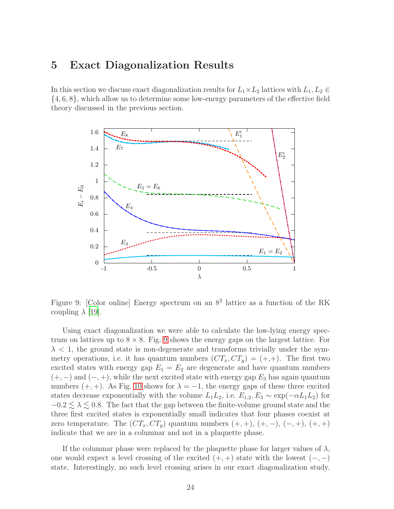## <span id="page-23-0"></span>5 Exact Diagonalization Results

In this section we discuss exact diagonalization results for  $L_1 \times L_2$  lattices with  $L_1, L_2 \in$ {4, 6, 8}, which allow us to determine some low-energy parameters of the effective field theory discussed in the previous section.



<span id="page-23-1"></span>Figure 9: [Color online] Energy spectrum on an  $8^2$  lattice as a function of the RK coupling  $\lambda$  [\[19\]](#page-33-3).

Using exact diagonalization we were able to calculate the low-lying energy spectrum on lattices up to  $8 \times 8$ . Fig. [9](#page-23-1) shows the energy gaps on the largest lattice. For  $\lambda$  < 1, the ground state is non-degenerate and transforms trivially under the symmetry operations, i.e. it has quantum numbers  $(CT_x, CT_y) = (+,+)$ . The first two excited states with energy gap  $E_1 = E_2$  are degenerate and have quantum numbers  $(+,-)$  and  $(-, +)$ , while the next excited state with energy gap  $E_3$  has again quantum numbers  $(+, +)$ . As Fig. [10](#page-24-0) shows for  $\lambda = -1$ , the energy gaps of these three excited states decrease exponentially with the volume  $L_1L_2$ , i.e.  $E_{1,2}, E_3 \sim \exp(-\alpha L_1L_2)$  for  $-0.2 \leq \lambda \leq 0.8$ . The fact that the gap between the finite-volume ground state and the three first excited states is exponentially small indicates that four phases coexist at zero temperature. The  $(CT_x, CT_y)$  quantum numbers  $(+, +), (+, -), (-, +), (+, +)$ indicate that we are in a columnar and not in a plaquette phase.

If the columnar phase were replaced by the plaquette phase for larger values of  $\lambda$ , one would expect a level crossing of the excited  $(+, +)$  state with the lowest  $(-, -)$ state. Interestingly, no such level crossing arises in our exact diagonalization study.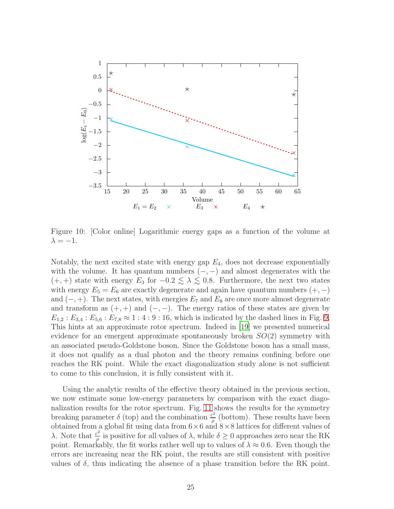

<span id="page-24-0"></span>Figure 10: [Color online] Logarithmic energy gaps as a function of the volume at  $\lambda = -1$ .

Notably, the next excited state with energy gap  $E_4$ , does not decrease exponentially with the volume. It has quantum numbers  $(-,-)$  and almost degenerates with the  $(+, +)$  state with energy  $E_3$  for  $-0.2 \leq \lambda \leq 0.8$ . Furthermore, the next two states with energy  $E_5 = E_6$  are exactly degenerate and again have quantum numbers  $(+,-)$ and  $(-, +)$ . The next states, with energies  $E_7$  and  $E_8$  are once more almost degenerate and transform as  $(+, +)$  and  $(-, -)$ . The energy ratios of these states are given by  $E_{1,2} : E_{3,4} : E_{5,6} : E_{7,8} \approx 1 : 4 : 9 : 16$ , which is indicated by the dashed lines in Fig. [9.](#page-23-1) This hints at an approximate rotor spectrum. Indeed in [\[19](#page-33-3)] we presented numerical evidence for an emergent approximate spontaneously broken  $SO(2)$  symmetry with an associated pseudo-Goldstone boson. Since the Goldstone boson has a small mass, it does not qualify as a dual photon and the theory remains confining before one reaches the RK point. While the exact diagonalization study alone is not sufficient to come to this conclusion, it is fully consistent with it.

Using the analytic results of the effective theory obtained in the previous section, we now estimate some low-energy parameters by comparison with the exact diagonalization results for the rotor spectrum. Fig. [11](#page-25-0) shows the results for the symmetry breaking parameter  $\delta$  (top) and the combination  $\frac{c^2}{a}$  $\frac{e^2}{\rho}$  (bottom). These results have been obtained from a global fit using data from  $6 \times 6$  and  $8 \times 8$  lattices for different values of λ. Note that  $\frac{c^2}{a}$  $\frac{\partial^2}{\partial \rho}$  is positive for all values of  $\lambda$ , while  $\delta \geq 0$  approaches zero near the RK point. Remarkably, the fit works rather well up to values of  $\lambda \approx 0.6$ . Even though the errors are increasing near the RK point, the results are still consistent with positive values of  $\delta$ , thus indicating the absence of a phase transition before the RK point.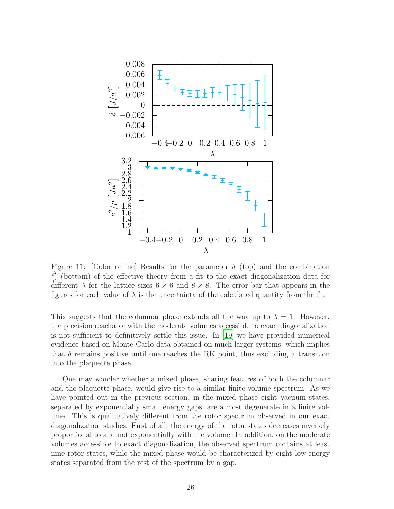

<span id="page-25-0"></span>Figure 11: [Color online] Results for the parameter  $\delta$  (top) and the combination  $c^2$  $\frac{e^2}{\rho}$  (bottom) of the effective theory from a fit to the exact diagonalization data for different  $\lambda$  for the lattice sizes  $6 \times 6$  and  $8 \times 8$ . The error bar that appears in the figures for each value of  $\lambda$  is the uncertainty of the calculated quantity from the fit.

This suggests that the columnar phase extends all the way up to  $\lambda = 1$ . However, the precision reachable with the moderate volumes accessible to exact diagonalization is not sufficient to definitively settle this issue. In [\[19\]](#page-33-3) we have provided numerical evidence based on Monte Carlo data obtained on much larger systems, which implies that  $\delta$  remains positive until one reaches the RK point, thus excluding a transition into the plaquette phase.

One may wonder whether a mixed phase, sharing features of both the columnar and the plaquette phase, would give rise to a similar finite-volume spectrum. As we have pointed out in the previous section, in the mixed phase eight vacuum states, separated by exponentially small energy gaps, are almost degenerate in a finite volume. This is qualitatively different from the rotor spectrum observed in our exact diagonalization studies. First of all, the energy of the rotor states decreases inversely proportional to and not exponentially with the volume. In addition, on the moderate volumes accessible to exact diagonalization, the observed spectrum contains at least nine rotor states, while the mixed phase would be characterized by eight low-energy states separated from the rest of the spectrum by a gap.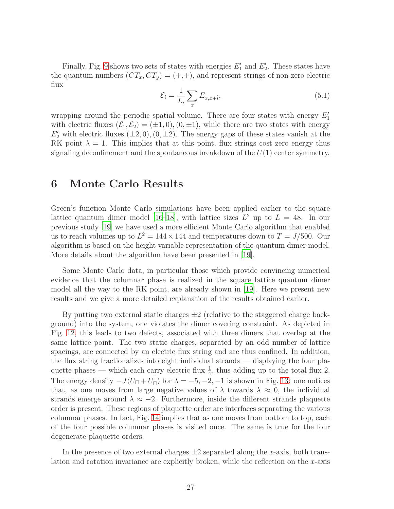Finally, Fig. [9](#page-23-1) shows two sets of states with energies  $E'_1$  and  $E'_2$ . These states have the quantum numbers  $(CT_x, CT_y) = (+,+)$ , and represent strings of non-zero electric flux

$$
\mathcal{E}_i = \frac{1}{L_i} \sum_x E_{x, x + \hat{i}},\tag{5.1}
$$

wrapping around the periodic spatial volume. There are four states with energy  $E'_1$ with electric fluxes  $(\mathcal{E}_1, \mathcal{E}_2) = (\pm 1, 0), (0, \pm 1)$ , while there are two states with energy  $E'_{2}$  with electric fluxes  $(\pm 2, 0), (0, \pm 2)$ . The energy gaps of these states vanish at the RK point  $\lambda = 1$ . This implies that at this point, flux strings cost zero energy thus signaling deconfinement and the spontaneous breakdown of the  $U(1)$  center symmetry.

## <span id="page-26-0"></span>6 Monte Carlo Results

Green's function Monte Carlo simulations have been applied earlier to the square lattice quantum dimer model [\[16](#page-33-0)[–18](#page-33-2)], with lattice sizes  $L^2$  up to  $L = 48$ . In our previous study [\[19](#page-33-3)] we have used a more efficient Monte Carlo algorithm that enabled us to reach volumes up to  $L^2 = 144 \times 144$  and temperatures down to  $T = J/500$ . Our algorithm is based on the height variable representation of the quantum dimer model. More details about the algorithm have been presented in [\[19](#page-33-3)].

Some Monte Carlo data, in particular those which provide convincing numerical evidence that the columnar phase is realized in the square lattice quantum dimer model all the way to the RK point, are already shown in [\[19](#page-33-3)]. Here we present new results and we give a more detailed explanation of the results obtained earlier.

By putting two external static charges  $\pm 2$  (relative to the staggered charge background) into the system, one violates the dimer covering constraint. As depicted in Fig. [12,](#page-27-1) this leads to two defects, associated with three dimers that overlap at the same lattice point. The two static charges, separated by an odd number of lattice spacings, are connected by an electric flux string and are thus confined. In addition, the flux string fractionalizes into eight individual strands — displaying the four plaquette phases — which each carry electric flux  $\frac{1}{4}$ , thus adding up to the total flux 2. The energy density  $-J\langle U_{\Box}+U_{\Box}^{\dagger}\rangle$  for  $\lambda=-5,-2,-1$  is shown in Fig. [13:](#page-28-0) one notices that, as one moves from large negative values of  $\lambda$  towards  $\lambda \approx 0$ , the individual strands emerge around  $\lambda \approx -2$ . Furthermore, inside the different strands plaquette order is present. These regions of plaquette order are interfaces separating the various columnar phases. In fact, Fig. [14](#page-29-0) implies that as one moves from bottom to top, each of the four possible columnar phases is visited once. The same is true for the four degenerate plaquette orders.

In the presence of two external charges  $\pm 2$  separated along the x-axis, both translation and rotation invariance are explicitly broken, while the reflection on the  $x$ -axis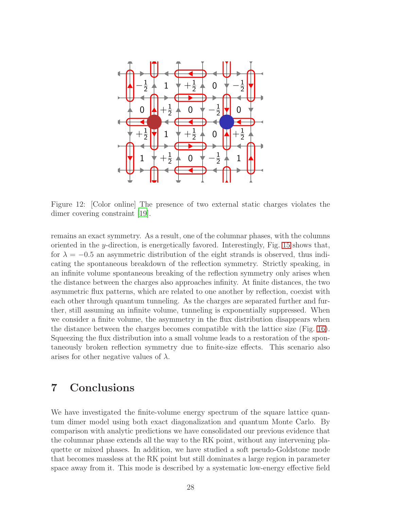

<span id="page-27-1"></span>Figure 12: [Color online] The presence of two external static charges violates the dimer covering constraint [\[19](#page-33-3)].

remains an exact symmetry. As a result, one of the columnar phases, with the columns oriented in the *y*-direction, is energetically favored. Interestingly, Fig. [15](#page-29-1) shows that, for  $\lambda = -0.5$  an asymmetric distribution of the eight strands is observed, thus indicating the spontaneous breakdown of the reflection symmetry. Strictly speaking, in an infinite volume spontaneous breaking of the reflection symmetry only arises when the distance between the charges also approaches infinity. At finite distances, the two asymmetric flux patterns, which are related to one another by reflection, coexist with each other through quantum tunneling. As the charges are separated further and further, still assuming an infinite volume, tunneling is exponentially suppressed. When we consider a finite volume, the asymmetry in the flux distribution disappears when the distance between the charges becomes compatible with the lattice size (Fig. [16\)](#page-30-0). Squeezing the flux distribution into a small volume leads to a restoration of the spontaneously broken reflection symmetry due to finite-size effects. This scenario also arises for other negative values of  $\lambda$ .

# <span id="page-27-0"></span>7 Conclusions

We have investigated the finite-volume energy spectrum of the square lattice quantum dimer model using both exact diagonalization and quantum Monte Carlo. By comparison with analytic predictions we have consolidated our previous evidence that the columnar phase extends all the way to the RK point, without any intervening plaquette or mixed phases. In addition, we have studied a soft pseudo-Goldstone mode that becomes massless at the RK point but still dominates a large region in parameter space away from it. This mode is described by a systematic low-energy effective field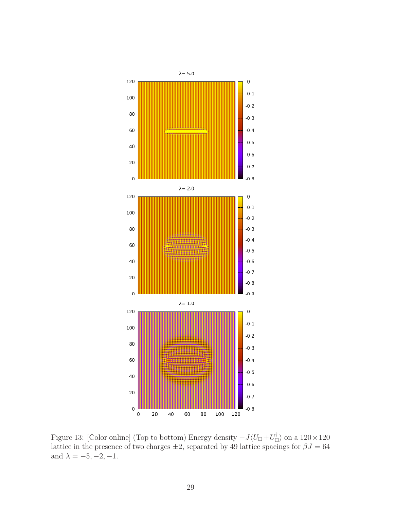

<span id="page-28-0"></span>Figure 13: [Color online] (Top to bottom) Energy density  $-J\langle U_{\Box}+U_{\Box}^{\dagger}\rangle$  on a  $120\times120$ lattice in the presence of two charges  $\pm 2$ , separated by 49 lattice spacings for  $\beta J = 64$ and  $\lambda = -5, -2, -1.$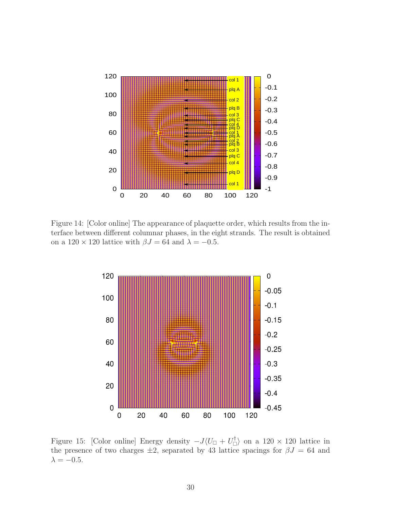

<span id="page-29-0"></span>Figure 14: [Color online] The appearance of plaquette order, which results from the interface between different columnar phases, in the eight strands. The result is obtained on a  $120 \times 120$  lattice with  $\beta J = 64$  and  $\lambda = -0.5$ .



<span id="page-29-1"></span>Figure 15: [Color online] Energy density  $-J\langle U_{\Box} + U_{\Box}^{\dagger} \rangle$  on a 120 × 120 lattice in the presence of two charges  $\pm 2$ , separated by 43 lattice spacings for  $\beta J = 64$  and  $\lambda=-0.5.$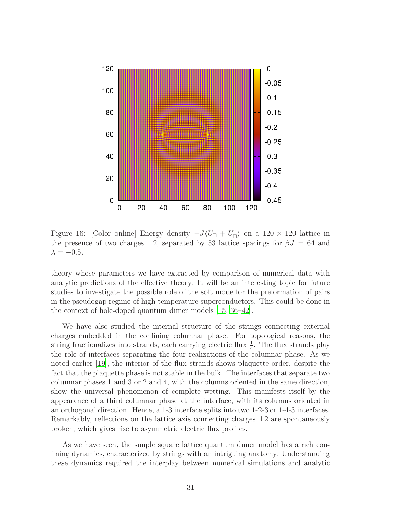

<span id="page-30-0"></span>Figure 16: [Color online] Energy density  $-J\langle U_{\Box} + U_{\Box}^{\dagger} \rangle$  on a 120 × 120 lattice in the presence of two charges  $\pm 2$ , separated by 53 lattice spacings for  $\beta J = 64$  and  $\lambda = -0.5$ .

theory whose parameters we have extracted by comparison of numerical data with analytic predictions of the effective theory. It will be an interesting topic for future studies to investigate the possible role of the soft mode for the preformation of pairs in the pseudogap regime of high-temperature superconductors. This could be done in the context of hole-doped quantum dimer models [\[15](#page-33-13), [36](#page-34-1)[–42](#page-34-2)].

We have also studied the internal structure of the strings connecting external charges embedded in the confining columnar phase. For topological reasons, the string fractionalizes into strands, each carrying electric flux  $\frac{1}{4}$ . The flux strands play the role of interfaces separating the four realizations of the columnar phase. As we noted earlier [\[19\]](#page-33-3), the interior of the flux strands shows plaquette order, despite the fact that the plaquette phase is not stable in the bulk. The interfaces that separate two columnar phases 1 and 3 or 2 and 4, with the columns oriented in the same direction, show the universal phenomenon of complete wetting. This manifests itself by the appearance of a third columnar phase at the interface, with its columns oriented in an orthogonal direction. Hence, a 1-3 interface splits into two 1-2-3 or 1-4-3 interfaces. Remarkably, reflections on the lattice axis connecting charges  $\pm 2$  are spontaneously broken, which gives rise to asymmetric electric flux profiles.

As we have seen, the simple square lattice quantum dimer model has a rich confining dynamics, characterized by strings with an intriguing anatomy. Understanding these dynamics required the interplay between numerical simulations and analytic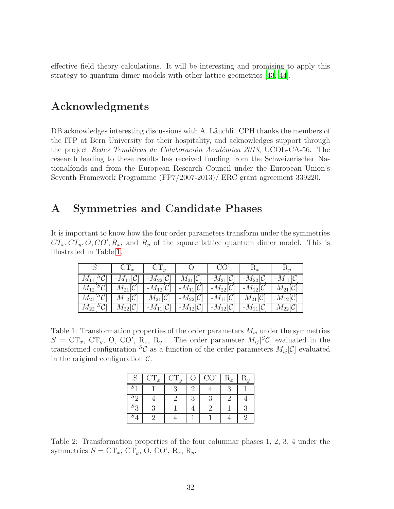effective field theory calculations. It will be interesting and promising to apply this strategy to quantum dimer models with other lattice geometries [\[43,](#page-34-3) [44\]](#page-34-4).

# Acknowledgments

DB acknowledges interesting discussions with A. Läuchli. CPH thanks the members of the ITP at Bern University for their hospitality, and acknowledges support through the project Redes Temáticas de Colaboración Académica 2013, UCOL-CA-56. The research leading to these results has received funding from the Schweizerischer Nationalfonds and from the European Research Council under the European Union's Seventh Framework Programme (FP7/2007-2013)/ ERC grant agreement 339220.

## <span id="page-31-0"></span>A Symmetries and Candidate Phases

It is important to know how the four order parameters transform under the symmetries  $CT_x, CT_y, O, CO', R_x$ , and  $R_y$  of the square lattice quantum dimer model. This is illustrated in Table [1.](#page-31-1)

|                                                                  | $CT_x$                          | $CT_u$                 | $\left( \begin{array}{c} \end{array} \right)$ | CO <sup>7</sup>                                                         |                        | $R_{u}$                |
|------------------------------------------------------------------|---------------------------------|------------------------|-----------------------------------------------|-------------------------------------------------------------------------|------------------------|------------------------|
| $M_{11}[{}^S{\mathcal C}]$                                       | $\vert$ - $M_{11}[\mathcal{C}]$ | $-M_{22}[\mathcal{C}]$ | $M_{21}[\mathcal{C}]$                         | $-M_{21}[\mathcal{C}]$                                                  | $-M_{22}[\mathcal{C}]$ | $-M_{11}[\mathcal{C}]$ |
| $M_{12}[{}^S{\mathcal{C}}]$   $M_{21}[\overline{{\mathcal{C}}}]$ |                                 | $-M_{12}[\mathcal{C}]$ |                                               | $-M_{11}[\mathcal{C}]$   $-M_{22}[\mathcal{C}]$                         | $-M_{12}[C]$           | $M_{21}[\mathcal{C}]$  |
| $M_{21}[^S{\cal C}]$                                             | $M_{12}[\mathcal{C}]$           | $M_{21}[\mathcal{C}]$  |                                               | $-M_{22}[\mathcal{C}]$   $-M_{11}[\mathcal{C}]$   $M_{21}[\mathcal{C}]$ |                        | $M_{12}[\mathcal{C}]$  |
| $M_{22}[^S{\cal C}]$                                             | $M_{22}[\mathcal{C}]$           | $-M_{11}[\mathcal{C}]$ |                                               | $-M_{12}[\mathcal{C}]$   $-M_{12}[\mathcal{C}]$                         | $-M_{11}[\mathcal{C}]$ | $M_{22}[\mathcal{C}]$  |

<span id="page-31-1"></span>Table 1: Transformation properties of the order parameters  $M_{ij}$  under the symmetries  $S = \mathbf{CT}_x$ ,  $\mathbf{CT}_y$ , O, CO', R<sub>x</sub>, R<sub>y</sub>. The order parameter  $M_{ij}[^S\mathcal{C}]$  evaluated in the transformed configuration <sup>S</sup>C as a function of the order parameters  $M_{ij}[\mathcal{C}]$  evaluated in the original configuration  $\mathcal{C}$ .

| $CT_x$ | $CT_y$ | $\overline{O}$ . | CO <sup>2</sup> | $R_x$ |  |
|--------|--------|------------------|-----------------|-------|--|
|        |        |                  |                 |       |  |
|        |        |                  |                 |       |  |
|        |        |                  |                 |       |  |
|        |        |                  |                 |       |  |

<span id="page-31-2"></span>Table 2: Transformation properties of the four columnar phases 1, 2, 3, 4 under the symmetries  $S = \mathbf{CT}_x$ ,  $\mathbf{CT}_y$ , O, CO', R<sub>x</sub>, R<sub>y</sub>.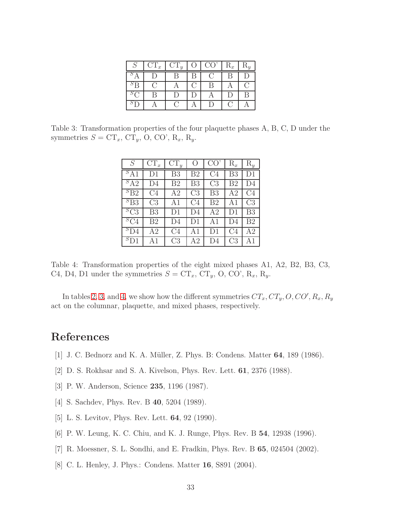| $\sim$    | $CT_x$ | $CT_y$ | $\Omega$ | CO <sup>2</sup>                                     | $\mathrm{R}_x$ | $R_y$ |
|-----------|--------|--------|----------|-----------------------------------------------------|----------------|-------|
| ΡΔ        |        |        |          | $\left( \begin{array}{c} \cdot \end{array} \right)$ |                |       |
| ${}^{S}R$ |        |        |          |                                                     |                |       |
|           |        | $\Box$ |          |                                                     |                | P     |
|           |        |        |          | $\Box$                                              |                |       |

<span id="page-32-4"></span>Table 3: Transformation properties of the four plaquette phases A, B, C, D under the symmetries  $S = \mathbf{CT}_x$ ,  $\mathbf{CT}_y$ , O, CO', R<sub>x</sub>, R<sub>y</sub>.

| S                       | $CT_x$         | $CT_y$         | О              | CO             | $\mathrm{R}_x$ | $R_y$          |
|-------------------------|----------------|----------------|----------------|----------------|----------------|----------------|
| ${}^{S}A1$              | D1             | B <sub>3</sub> | B <sub>2</sub> | C <sub>4</sub> | B <sub>3</sub> | D1             |
| $S_{A2}$                | D4             | B <sub>2</sub> | B <sub>3</sub> | C <sub>3</sub> | B <sub>2</sub> | D4             |
| ${}^{S}B2$              | C4             | A <sub>2</sub> | C <sub>3</sub> | B <sub>3</sub> | A2             | C <sub>4</sub> |
| ${}^{S}$ B <sub>3</sub> | C <sub>3</sub> | A1             | C <sub>4</sub> | B <sub>2</sub> | A1             | C3             |
| ${}^{S}C3$              | B <sub>3</sub> | D1             | D <sub>4</sub> | A <sub>2</sub> | D1             | B <sub>3</sub> |
| ${}^5C4$                | B <sub>2</sub> | D4             | D1             | A1             | D4             | B <sub>2</sub> |
| ${}^{S}D4$              | A2             | C4             | A1             | D1             | C4             | A2             |
| ${}^{S}D1$              | A1             | C <sub>3</sub> | Α2             | D4             | C <sub>3</sub> | A1             |

<span id="page-32-5"></span>Table 4: Transformation properties of the eight mixed phases A1, A2, B2, B3, C3, C4, D4, D1 under the symmetries  $S = \mathbf{CT}_x$ ,  $\mathbf{CT}_y$ , O, CO', R<sub>x</sub>, R<sub>y</sub>.

In tables [2,](#page-31-2) [3,](#page-32-4) and [4,](#page-32-5) we show how the different symmetries  $CT_x, CT_y, O, CO', R_x, R_y$ act on the columnar, plaquette, and mixed phases, respectively.

# References

- <span id="page-32-0"></span>[1] J. C. Bednorz and K. A. Müller, Z. Phys. B: Condens. Matter **64**, 189 (1986).
- <span id="page-32-1"></span>[2] D. S. Rokhsar and S. A. Kivelson, Phys. Rev. Lett. 61, 2376 (1988).
- <span id="page-32-2"></span>[3] P. W. Anderson, Science 235, 1196 (1987).
- <span id="page-32-3"></span>[4] S. Sachdev, Phys. Rev. B 40, 5204 (1989).
- [5] L. S. Levitov, Phys. Rev. Lett. 64, 92 (1990).
- [6] P. W. Leung, K. C. Chiu, and K. J. Runge, Phys. Rev. B 54, 12938 (1996).
- [7] R. Moessner, S. L. Sondhi, and E. Fradkin, Phys. Rev. B 65, 024504 (2002).
- [8] C. L. Henley, J. Phys.: Condens. Matter 16, S891 (2004).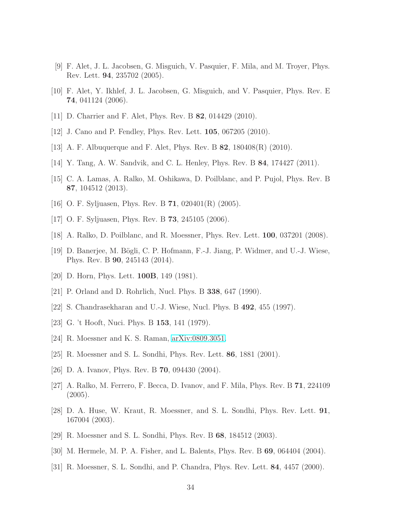- [9] F. Alet, J. L. Jacobsen, G. Misguich, V. Pasquier, F. Mila, and M. Troyer, Phys. Rev. Lett. 94, 235702 (2005).
- [10] F. Alet, Y. Ikhlef, J. L. Jacobsen, G. Misguich, and V. Pasquier, Phys. Rev. E 74, 041124 (2006).
- [11] D. Charrier and F. Alet, Phys. Rev. B **82**, 014429 (2010).
- [12] J. Cano and P. Fendley, Phys. Rev. Lett. 105, 067205 (2010).
- [13] A. F. Albuquerque and F. Alet, Phys. Rev. B 82, 180408(R) (2010).
- [14] Y. Tang, A. W. Sandvik, and C. L. Henley, Phys. Rev. B 84, 174427 (2011).
- <span id="page-33-13"></span>[15] C. A. Lamas, A. Ralko, M. Oshikawa, D. Poilblanc, and P. Pujol, Phys. Rev. B 87, 104512 (2013).
- <span id="page-33-0"></span>[16] O. F. Syljuasen, Phys. Rev. B  $71$ ,  $020401(R)$  (2005).
- <span id="page-33-1"></span>[17] O. F. Syljuasen, Phys. Rev. B 73, 245105 (2006).
- <span id="page-33-2"></span>[18] A. Ralko, D. Poilblanc, and R. Moessner, Phys. Rev. Lett. 100, 037201 (2008).
- <span id="page-33-3"></span>[19] D. Banerjee, M. Bögli, C. P. Hofmann, F.-J. Jiang, P. Widmer, and U.-J. Wiese, Phys. Rev. B 90, 245143 (2014).
- <span id="page-33-4"></span>[20] D. Horn, Phys. Lett. **100B**, 149 (1981).
- [21] P. Orland and D. Rohrlich, Nucl. Phys. B 338, 647 (1990).
- <span id="page-33-5"></span>[22] S. Chandrasekharan and U.-J. Wiese, Nucl. Phys. B 492, 455 (1997).
- <span id="page-33-6"></span>[23] G. 't Hooft, Nuci. Phys. B 153, 141 (1979).
- <span id="page-33-7"></span>[24] R. Moessner and K. S. Raman, [arXiv:0809.3051.](http://arxiv.org/abs/0809.3051)
- <span id="page-33-8"></span>[25] R. Moessner and S. L. Sondhi, Phys. Rev. Lett. 86, 1881 (2001).
- [26] D. A. Ivanov, Phys. Rev. B **70**, 094430 (2004).
- <span id="page-33-9"></span>[27] A. Ralko, M. Ferrero, F. Becca, D. Ivanov, and F. Mila, Phys. Rev. B 71, 224109 (2005).
- <span id="page-33-10"></span>[28] D. A. Huse, W. Kraut, R. Moessner, and S. L. Sondhi, Phys. Rev. Lett. 91, 167004 (2003).
- [29] R. Moessner and S. L. Sondhi, Phys. Rev. B 68, 184512 (2003).
- <span id="page-33-11"></span>[30] M. Hermele, M. P. A. Fisher, and L. Balents, Phys. Rev. B 69, 064404 (2004).
- <span id="page-33-12"></span>[31] R. Moessner, S. L. Sondhi, and P. Chandra, Phys. Rev. Lett. 84, 4457 (2000).